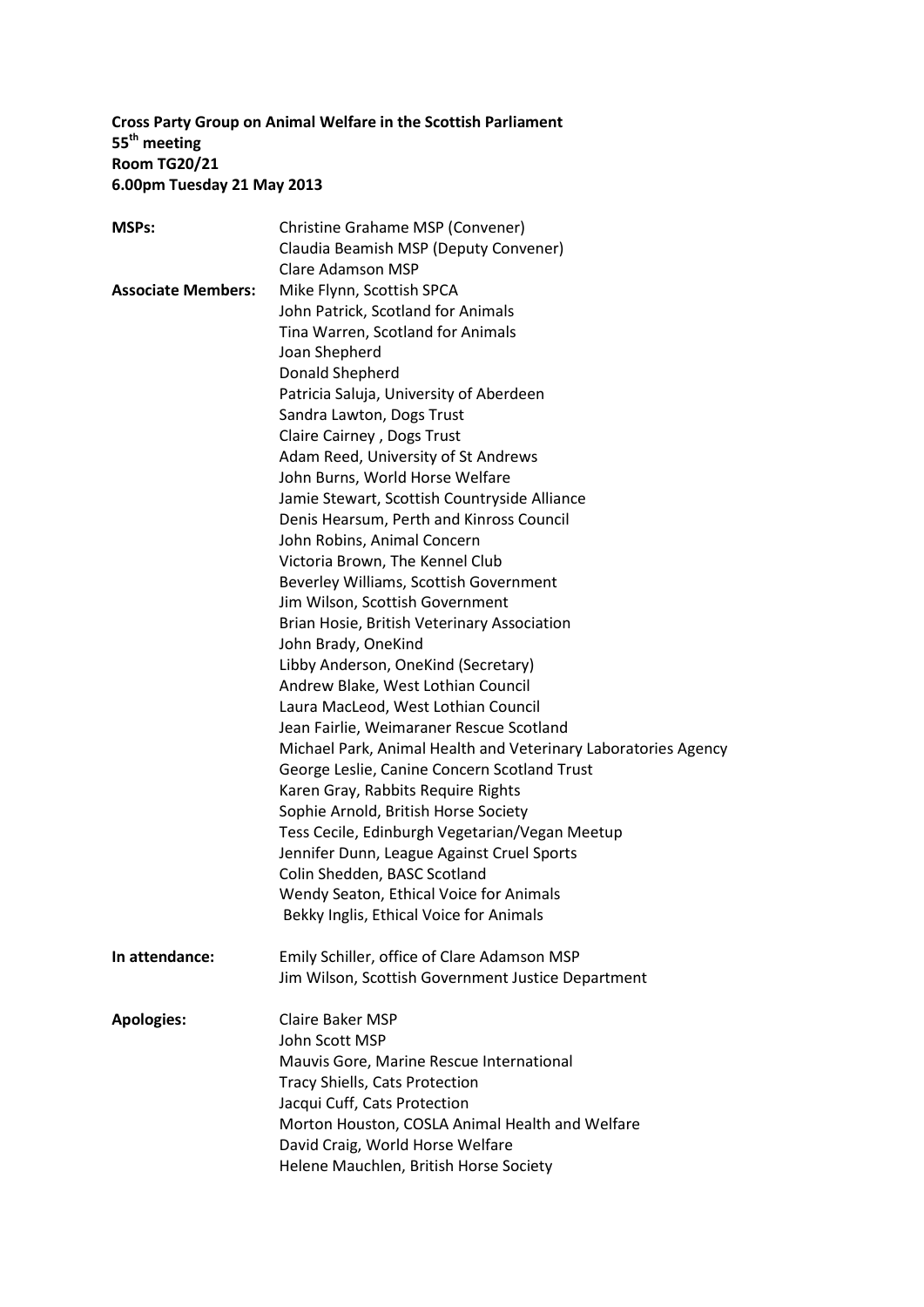## **Cross Party Group on Animal Welfare in the Scottish Parliament 55 th meeting Room TG20/21 6.00pm Tuesday 21 May 2013**

| <b>MSPs:</b>              | Christine Grahame MSP (Convener)                               |  |  |  |
|---------------------------|----------------------------------------------------------------|--|--|--|
|                           | Claudia Beamish MSP (Deputy Convener)                          |  |  |  |
|                           | <b>Clare Adamson MSP</b>                                       |  |  |  |
| <b>Associate Members:</b> | Mike Flynn, Scottish SPCA                                      |  |  |  |
|                           | John Patrick, Scotland for Animals                             |  |  |  |
|                           | Tina Warren, Scotland for Animals                              |  |  |  |
|                           | Joan Shepherd                                                  |  |  |  |
|                           | Donald Shepherd                                                |  |  |  |
|                           | Patricia Saluja, University of Aberdeen                        |  |  |  |
|                           | Sandra Lawton, Dogs Trust                                      |  |  |  |
|                           | Claire Cairney, Dogs Trust                                     |  |  |  |
|                           | Adam Reed, University of St Andrews                            |  |  |  |
|                           | John Burns, World Horse Welfare                                |  |  |  |
|                           | Jamie Stewart, Scottish Countryside Alliance                   |  |  |  |
|                           | Denis Hearsum, Perth and Kinross Council                       |  |  |  |
|                           | John Robins, Animal Concern                                    |  |  |  |
|                           | Victoria Brown, The Kennel Club                                |  |  |  |
|                           | Beverley Williams, Scottish Government                         |  |  |  |
|                           | Jim Wilson, Scottish Government                                |  |  |  |
|                           | Brian Hosie, British Veterinary Association                    |  |  |  |
|                           | John Brady, OneKind                                            |  |  |  |
|                           | Libby Anderson, OneKind (Secretary)                            |  |  |  |
|                           | Andrew Blake, West Lothian Council                             |  |  |  |
|                           | Laura MacLeod, West Lothian Council                            |  |  |  |
|                           | Jean Fairlie, Weimaraner Rescue Scotland                       |  |  |  |
|                           | Michael Park, Animal Health and Veterinary Laboratories Agency |  |  |  |
|                           | George Leslie, Canine Concern Scotland Trust                   |  |  |  |
|                           | Karen Gray, Rabbits Require Rights                             |  |  |  |
|                           | Sophie Arnold, British Horse Society                           |  |  |  |
|                           | Tess Cecile, Edinburgh Vegetarian/Vegan Meetup                 |  |  |  |
|                           | Jennifer Dunn, League Against Cruel Sports                     |  |  |  |
|                           | Colin Shedden, BASC Scotland                                   |  |  |  |
|                           | Wendy Seaton, Ethical Voice for Animals                        |  |  |  |
|                           | Bekky Inglis, Ethical Voice for Animals                        |  |  |  |
|                           |                                                                |  |  |  |
| In attendance:            | Emily Schiller, office of Clare Adamson MSP                    |  |  |  |
|                           | Jim Wilson, Scottish Government Justice Department             |  |  |  |
|                           |                                                                |  |  |  |
| <b>Apologies:</b>         | <b>Claire Baker MSP</b>                                        |  |  |  |
|                           | John Scott MSP                                                 |  |  |  |
|                           | Mauvis Gore, Marine Rescue International                       |  |  |  |
|                           | <b>Tracy Shiells, Cats Protection</b>                          |  |  |  |
|                           | Jacqui Cuff, Cats Protection                                   |  |  |  |
|                           | Morton Houston, COSLA Animal Health and Welfare                |  |  |  |
|                           | David Craig, World Horse Welfare                               |  |  |  |
|                           | Helene Mauchlen, British Horse Society                         |  |  |  |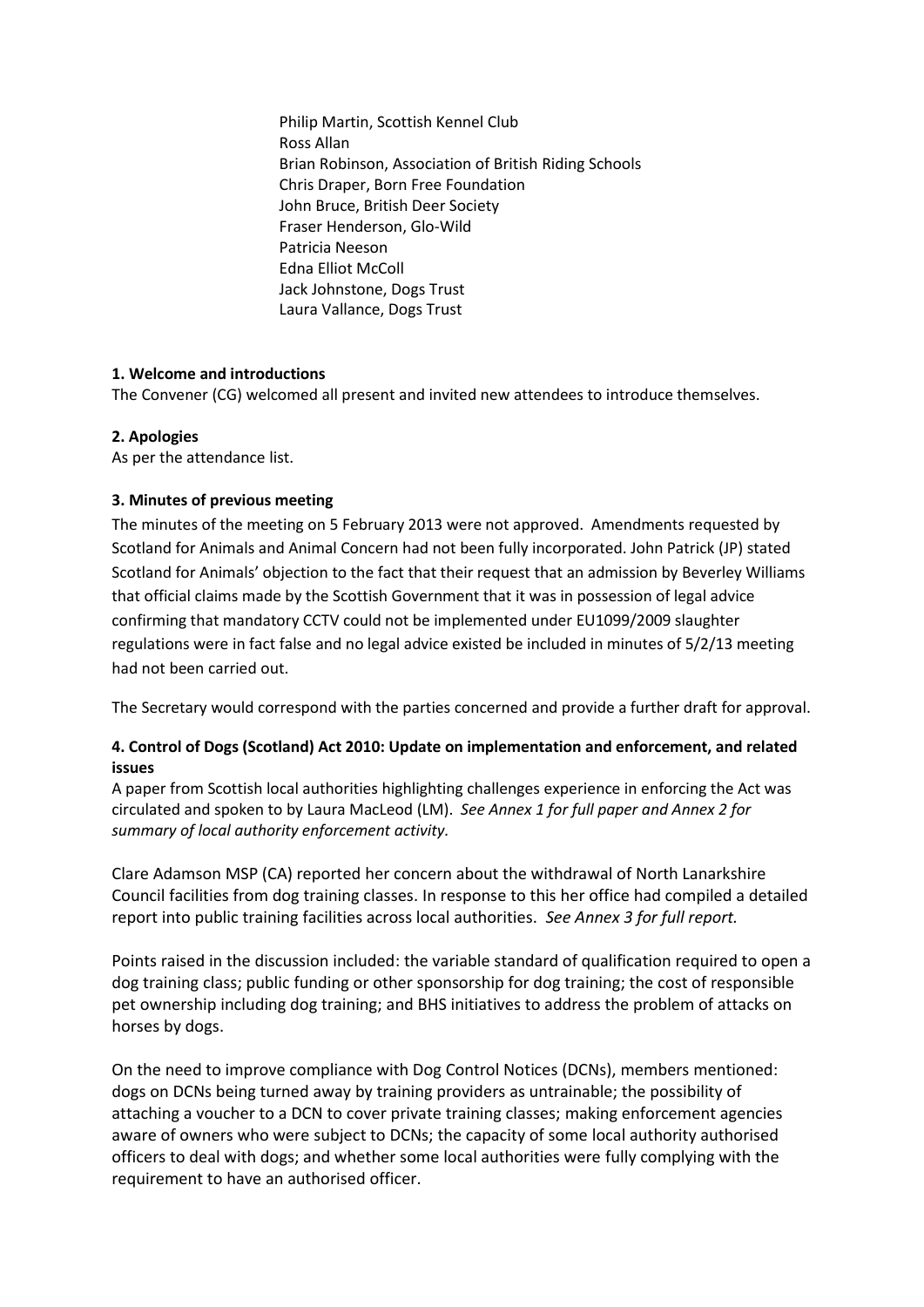Philip Martin, Scottish Kennel Club Ross Allan Brian Robinson, Association of British Riding Schools Chris Draper, Born Free Foundation John Bruce, British Deer Society Fraser Henderson, Glo-Wild Patricia Neeson Edna Elliot McColl Jack Johnstone, Dogs Trust Laura Vallance, Dogs Trust

## **1. Welcome and introductions**

The Convener (CG) welcomed all present and invited new attendees to introduce themselves.

## **2. Apologies**

As per the attendance list.

## **3. Minutes of previous meeting**

The minutes of the meeting on 5 February 2013 were not approved. Amendments requested by Scotland for Animals and Animal Concern had not been fully incorporated. John Patrick (JP) stated Scotland for Animals' objection to the fact that their request that an admission by Beverley Williams that official claims made by the Scottish Government that it was in possession of legal advice confirming that mandatory CCTV could not be implemented under EU1099/2009 slaughter regulations were in fact false and no legal advice existed be included in minutes of 5/2/13 meeting had not been carried out.

The Secretary would correspond with the parties concerned and provide a further draft for approval.

## **4. Control of Dogs (Scotland) Act 2010: Update on implementation and enforcement, and related issues**

A paper from Scottish local authorities highlighting challenges experience in enforcing the Act was circulated and spoken to by Laura MacLeod (LM). *See Annex 1 for full paper and Annex 2 for summary of local authority enforcement activity.*

Clare Adamson MSP (CA) reported her concern about the withdrawal of North Lanarkshire Council facilities from dog training classes. In response to this her office had compiled a detailed report into public training facilities across local authorities. *See Annex 3 for full report.*

Points raised in the discussion included: the variable standard of qualification required to open a dog training class; public funding or other sponsorship for dog training; the cost of responsible pet ownership including dog training; and BHS initiatives to address the problem of attacks on horses by dogs.

On the need to improve compliance with Dog Control Notices (DCNs), members mentioned: dogs on DCNs being turned away by training providers as untrainable; the possibility of attaching a voucher to a DCN to cover private training classes; making enforcement agencies aware of owners who were subject to DCNs; the capacity of some local authority authorised officers to deal with dogs; and whether some local authorities were fully complying with the requirement to have an authorised officer.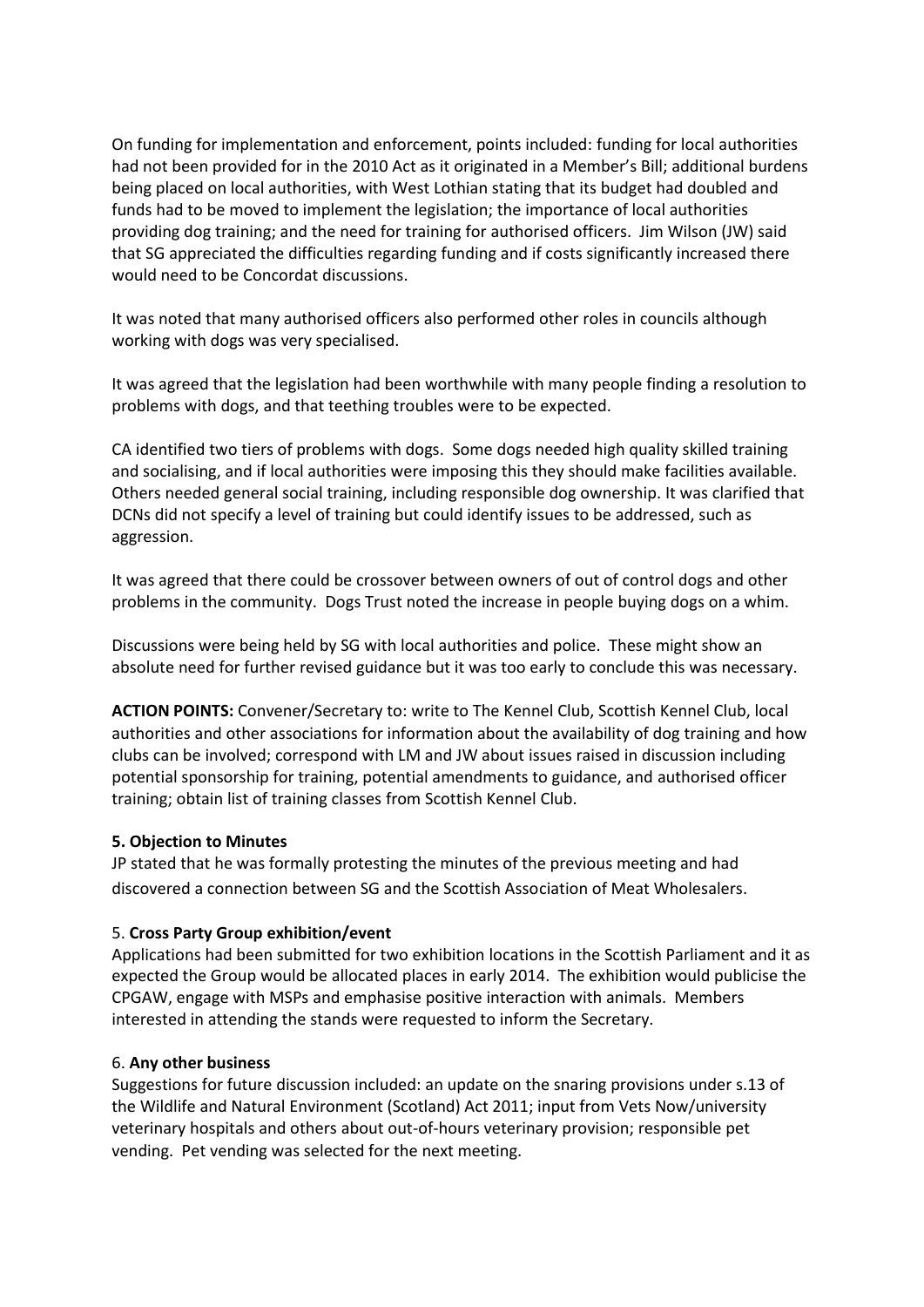On funding for implementation and enforcement, points included: funding for local authorities had not been provided for in the 2010 Act as it originated in a Member's Bill; additional burdens being placed on local authorities, with West Lothian stating that its budget had doubled and funds had to be moved to implement the legislation; the importance of local authorities providing dog training; and the need for training for authorised officers. Jim Wilson (JW) said that SG appreciated the difficulties regarding funding and if costs significantly increased there would need to be Concordat discussions.

It was noted that many authorised officers also performed other roles in councils although working with dogs was very specialised.

It was agreed that the legislation had been worthwhile with many people finding a resolution to problems with dogs, and that teething troubles were to be expected.

CA identified two tiers of problems with dogs. Some dogs needed high quality skilled training and socialising, and if local authorities were imposing this they should make facilities available. Others needed general social training, including responsible dog ownership. It was clarified that DCNs did not specify a level of training but could identify issues to be addressed, such as aggression.

It was agreed that there could be crossover between owners of out of control dogs and other problems in the community. Dogs Trust noted the increase in people buying dogs on a whim.

Discussions were being held by SG with local authorities and police. These might show an absolute need for further revised guidance but it was too early to conclude this was necessary.

**ACTION POINTS:** Convener/Secretary to: write to The Kennel Club, Scottish Kennel Club, local authorities and other associations for information about the availability of dog training and how clubs can be involved; correspond with LM and JW about issues raised in discussion including potential sponsorship for training, potential amendments to guidance, and authorised officer training; obtain list of training classes from Scottish Kennel Club.

## **5. Objection to Minutes**

JP stated that he was formally protesting the minutes of the previous meeting and had discovered a connection between SG and the Scottish Association of Meat Wholesalers.

## 5. **Cross Party Group exhibition/event**

Applications had been submitted for two exhibition locations in the Scottish Parliament and it as expected the Group would be allocated places in early 2014. The exhibition would publicise the CPGAW, engage with MSPs and emphasise positive interaction with animals. Members interested in attending the stands were requested to inform the Secretary.

## 6. **Any other business**

Suggestions for future discussion included: an update on the snaring provisions under s.13 of the Wildlife and Natural Environment (Scotland) Act 2011; input from Vets Now/university veterinary hospitals and others about out-of-hours veterinary provision; responsible pet vending. Pet vending was selected for the next meeting.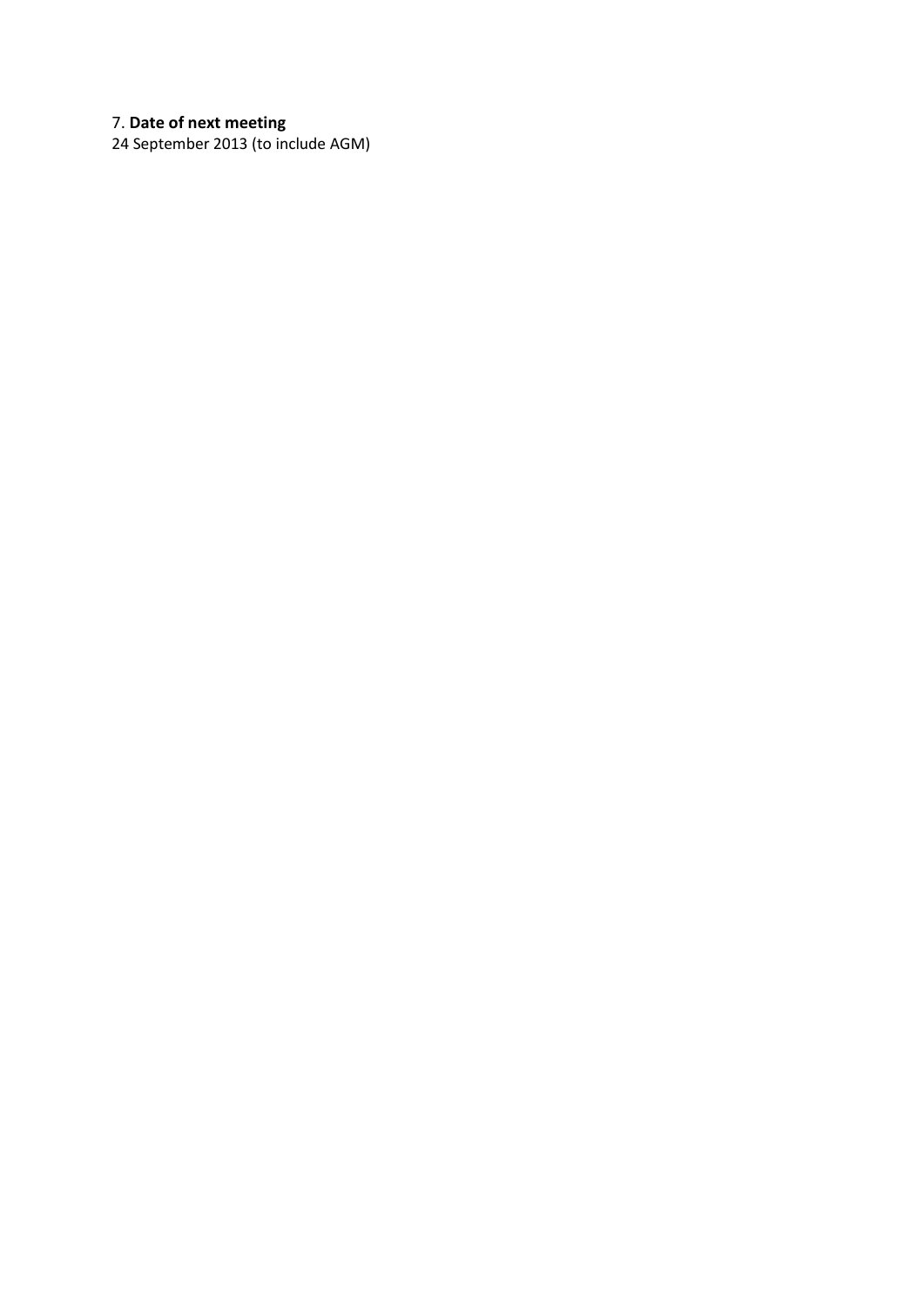## 7. **Date of next meeting**

24 September 2013 (to include AGM)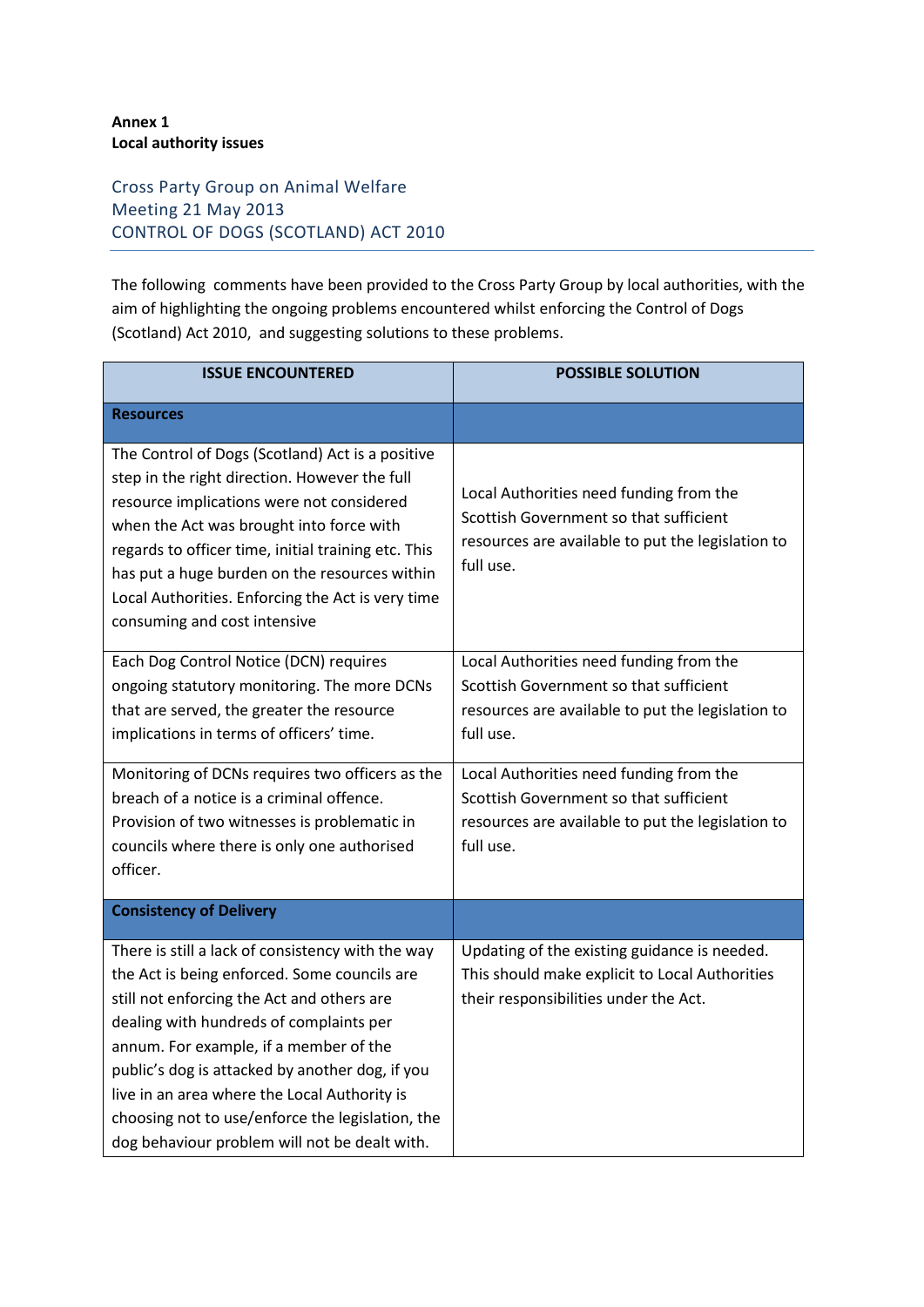## **Annex 1 Local authority issues**

## Cross Party Group on Animal Welfare Meeting 21 May 2013 CONTROL OF DOGS (SCOTLAND) ACT 2010

The following comments have been provided to the Cross Party Group by local authorities, with the aim of highlighting the ongoing problems encountered whilst enforcing the Control of Dogs (Scotland) Act 2010, and suggesting solutions to these problems.

| <b>ISSUE ENCOUNTERED</b>                                                                                                                                                                                                                                                                                                                                                                                                                     | <b>POSSIBLE SOLUTION</b>                                                                                                                            |  |  |
|----------------------------------------------------------------------------------------------------------------------------------------------------------------------------------------------------------------------------------------------------------------------------------------------------------------------------------------------------------------------------------------------------------------------------------------------|-----------------------------------------------------------------------------------------------------------------------------------------------------|--|--|
| <b>Resources</b>                                                                                                                                                                                                                                                                                                                                                                                                                             |                                                                                                                                                     |  |  |
| The Control of Dogs (Scotland) Act is a positive<br>step in the right direction. However the full<br>resource implications were not considered<br>when the Act was brought into force with<br>regards to officer time, initial training etc. This<br>has put a huge burden on the resources within<br>Local Authorities. Enforcing the Act is very time<br>consuming and cost intensive                                                      | Local Authorities need funding from the<br>Scottish Government so that sufficient<br>resources are available to put the legislation to<br>full use. |  |  |
| Each Dog Control Notice (DCN) requires<br>ongoing statutory monitoring. The more DCNs<br>that are served, the greater the resource<br>implications in terms of officers' time.                                                                                                                                                                                                                                                               | Local Authorities need funding from the<br>Scottish Government so that sufficient<br>resources are available to put the legislation to<br>full use. |  |  |
| Monitoring of DCNs requires two officers as the<br>breach of a notice is a criminal offence.<br>Provision of two witnesses is problematic in<br>councils where there is only one authorised<br>officer.                                                                                                                                                                                                                                      | Local Authorities need funding from the<br>Scottish Government so that sufficient<br>resources are available to put the legislation to<br>full use. |  |  |
| <b>Consistency of Delivery</b>                                                                                                                                                                                                                                                                                                                                                                                                               |                                                                                                                                                     |  |  |
| There is still a lack of consistency with the way<br>the Act is being enforced. Some councils are<br>still not enforcing the Act and others are<br>dealing with hundreds of complaints per<br>annum. For example, if a member of the<br>public's dog is attacked by another dog, if you<br>live in an area where the Local Authority is<br>choosing not to use/enforce the legislation, the<br>dog behaviour problem will not be dealt with. | Updating of the existing guidance is needed.<br>This should make explicit to Local Authorities<br>their responsibilities under the Act.             |  |  |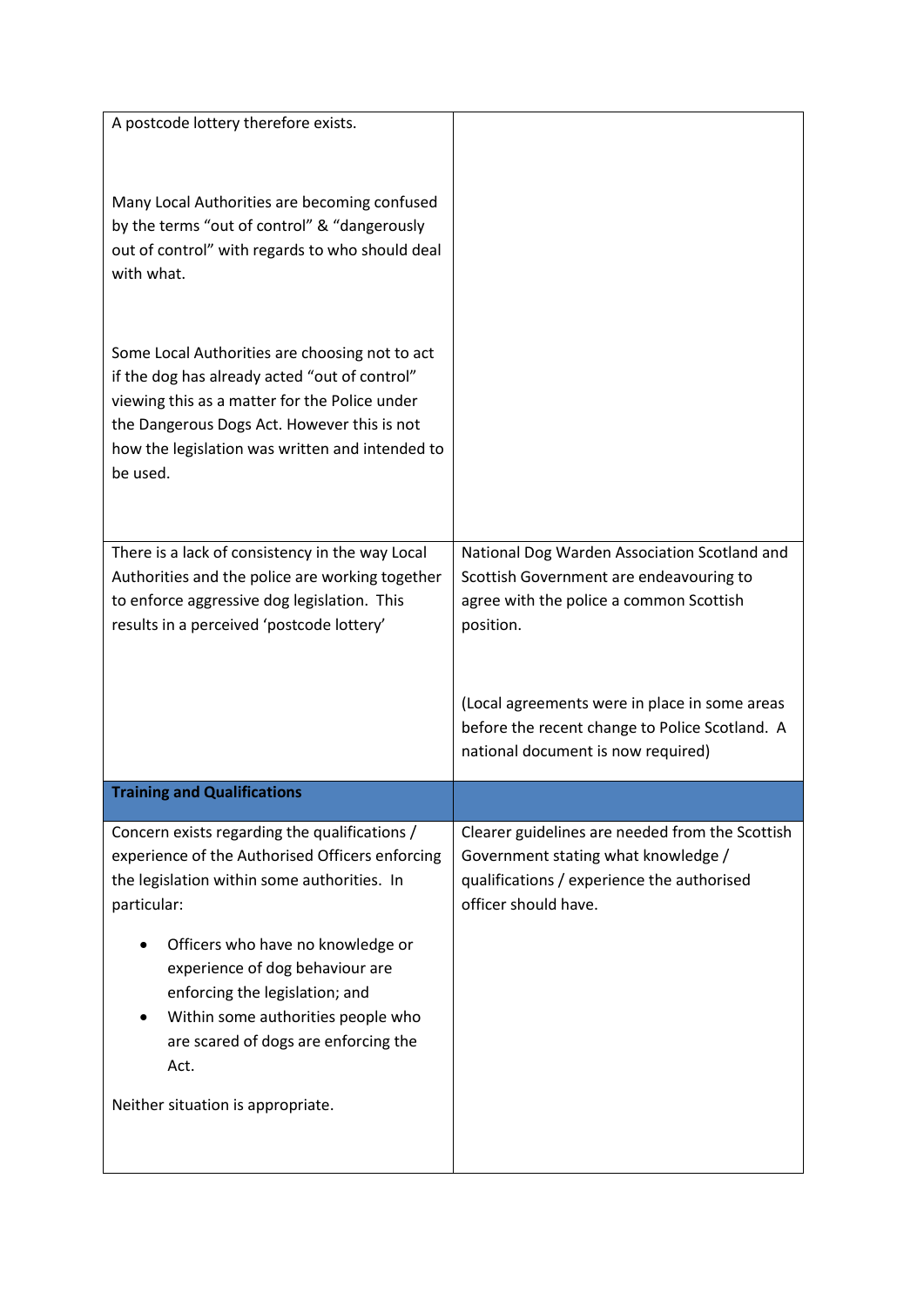| A postcode lottery therefore exists.                                                            |                                                 |
|-------------------------------------------------------------------------------------------------|-------------------------------------------------|
|                                                                                                 |                                                 |
|                                                                                                 |                                                 |
| Many Local Authorities are becoming confused                                                    |                                                 |
| by the terms "out of control" & "dangerously                                                    |                                                 |
| out of control" with regards to who should deal                                                 |                                                 |
| with what.                                                                                      |                                                 |
|                                                                                                 |                                                 |
|                                                                                                 |                                                 |
| Some Local Authorities are choosing not to act<br>if the dog has already acted "out of control" |                                                 |
| viewing this as a matter for the Police under                                                   |                                                 |
| the Dangerous Dogs Act. However this is not                                                     |                                                 |
| how the legislation was written and intended to                                                 |                                                 |
| be used.                                                                                        |                                                 |
|                                                                                                 |                                                 |
|                                                                                                 |                                                 |
| There is a lack of consistency in the way Local                                                 | National Dog Warden Association Scotland and    |
| Authorities and the police are working together                                                 | Scottish Government are endeavouring to         |
| to enforce aggressive dog legislation. This                                                     | agree with the police a common Scottish         |
| results in a perceived 'postcode lottery'                                                       | position.                                       |
|                                                                                                 |                                                 |
|                                                                                                 | (Local agreements were in place in some areas   |
|                                                                                                 | before the recent change to Police Scotland. A  |
|                                                                                                 | national document is now required)              |
|                                                                                                 |                                                 |
| <b>Training and Qualifications</b>                                                              |                                                 |
| Concern exists regarding the qualifications /                                                   | Clearer guidelines are needed from the Scottish |
| experience of the Authorised Officers enforcing                                                 | Government stating what knowledge /             |
| the legislation within some authorities. In                                                     | qualifications / experience the authorised      |
| particular:                                                                                     | officer should have.                            |
| Officers who have no knowledge or                                                               |                                                 |
| experience of dog behaviour are                                                                 |                                                 |
| enforcing the legislation; and                                                                  |                                                 |
| Within some authorities people who                                                              |                                                 |
| are scared of dogs are enforcing the                                                            |                                                 |
| Act.                                                                                            |                                                 |
| Neither situation is appropriate.                                                               |                                                 |
|                                                                                                 |                                                 |
|                                                                                                 |                                                 |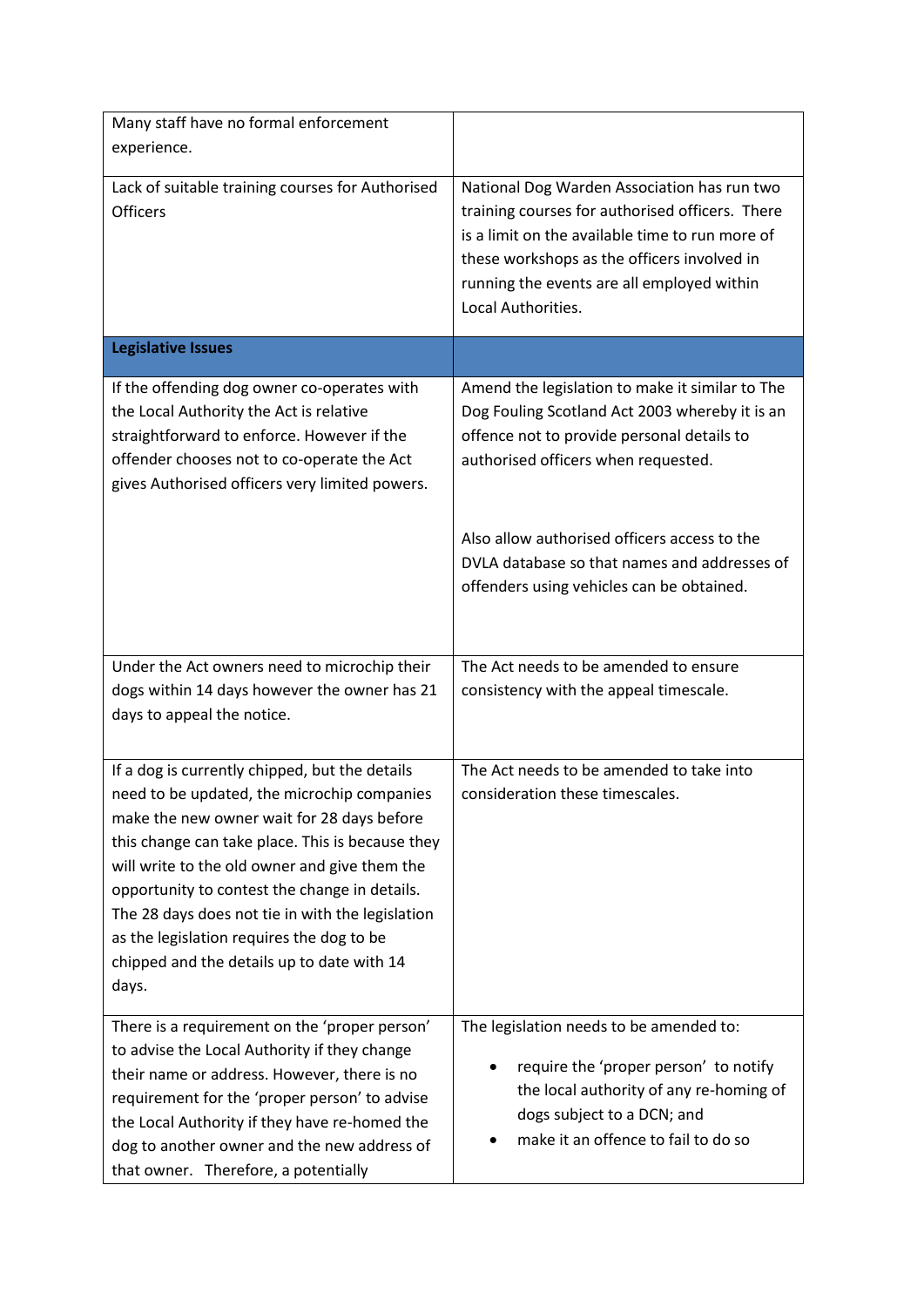| Many staff have no formal enforcement                                                                                                                                                                                                                                                                                                                                                                   |                                                                                                                                                                                                                                                                      |
|---------------------------------------------------------------------------------------------------------------------------------------------------------------------------------------------------------------------------------------------------------------------------------------------------------------------------------------------------------------------------------------------------------|----------------------------------------------------------------------------------------------------------------------------------------------------------------------------------------------------------------------------------------------------------------------|
| experience.                                                                                                                                                                                                                                                                                                                                                                                             |                                                                                                                                                                                                                                                                      |
| Lack of suitable training courses for Authorised<br><b>Officers</b>                                                                                                                                                                                                                                                                                                                                     | National Dog Warden Association has run two<br>training courses for authorised officers. There<br>is a limit on the available time to run more of<br>these workshops as the officers involved in<br>running the events are all employed within<br>Local Authorities. |
| <b>Legislative Issues</b>                                                                                                                                                                                                                                                                                                                                                                               |                                                                                                                                                                                                                                                                      |
| If the offending dog owner co-operates with<br>the Local Authority the Act is relative<br>straightforward to enforce. However if the<br>offender chooses not to co-operate the Act<br>gives Authorised officers very limited powers.                                                                                                                                                                    | Amend the legislation to make it similar to The<br>Dog Fouling Scotland Act 2003 whereby it is an<br>offence not to provide personal details to<br>authorised officers when requested.<br>Also allow authorised officers access to the                               |
|                                                                                                                                                                                                                                                                                                                                                                                                         | DVLA database so that names and addresses of<br>offenders using vehicles can be obtained.                                                                                                                                                                            |
| Under the Act owners need to microchip their                                                                                                                                                                                                                                                                                                                                                            | The Act needs to be amended to ensure                                                                                                                                                                                                                                |
| dogs within 14 days however the owner has 21<br>days to appeal the notice.                                                                                                                                                                                                                                                                                                                              | consistency with the appeal timescale.                                                                                                                                                                                                                               |
| If a dog is currently chipped, but the details                                                                                                                                                                                                                                                                                                                                                          | The Act needs to be amended to take into                                                                                                                                                                                                                             |
| need to be updated, the microchip companies<br>make the new owner wait for 28 days before<br>this change can take place. This is because they<br>will write to the old owner and give them the<br>opportunity to contest the change in details.<br>The 28 days does not tie in with the legislation<br>as the legislation requires the dog to be<br>chipped and the details up to date with 14<br>days. | consideration these timescales.                                                                                                                                                                                                                                      |
| There is a requirement on the 'proper person'                                                                                                                                                                                                                                                                                                                                                           | The legislation needs to be amended to:                                                                                                                                                                                                                              |
| to advise the Local Authority if they change<br>their name or address. However, there is no<br>requirement for the 'proper person' to advise<br>the Local Authority if they have re-homed the<br>dog to another owner and the new address of<br>that owner. Therefore, a potentially                                                                                                                    | require the 'proper person' to notify<br>the local authority of any re-homing of<br>dogs subject to a DCN; and<br>make it an offence to fail to do so                                                                                                                |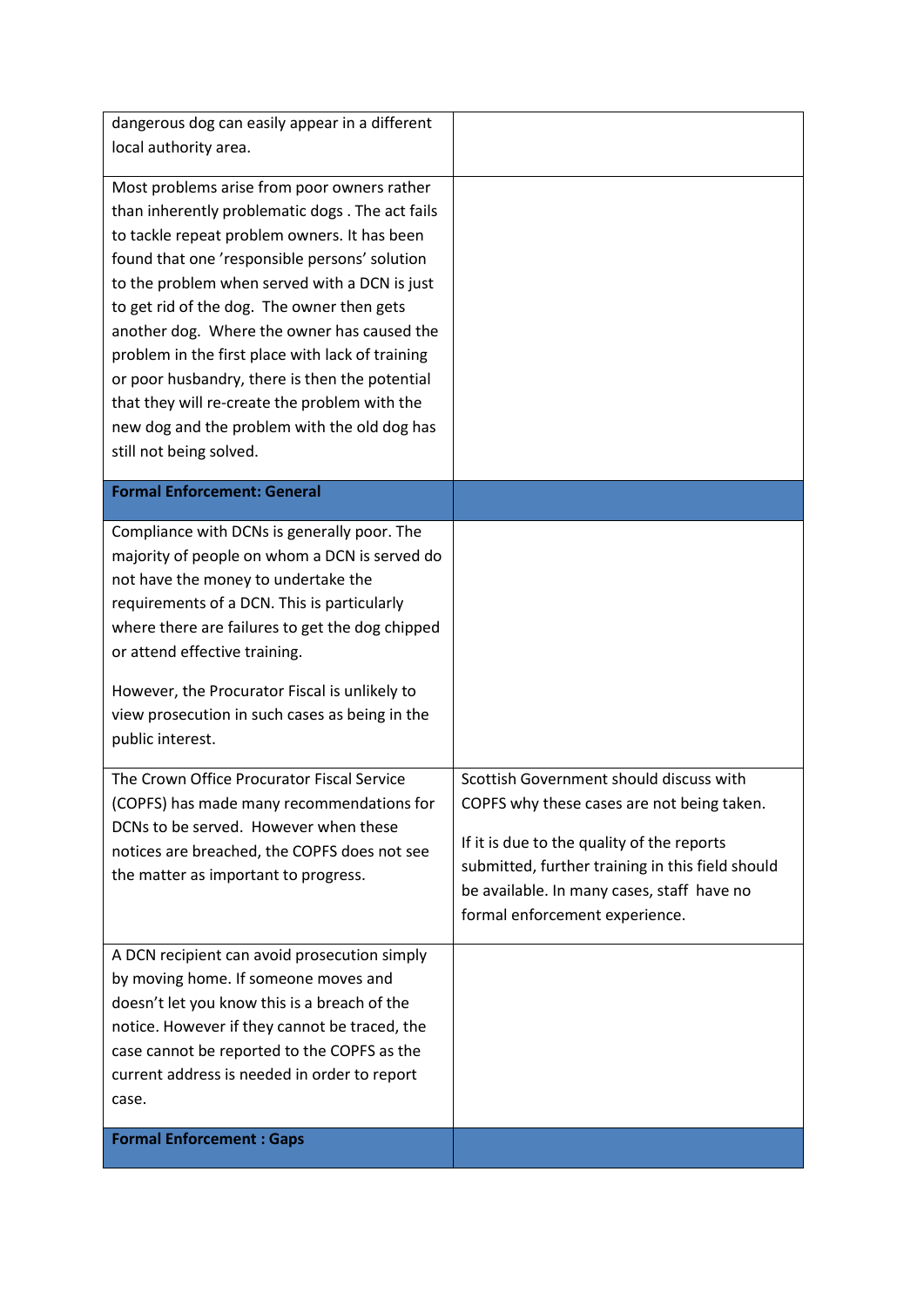| dangerous dog can easily appear in a different                                                                                                                                                                                                                                                                                                                                                                                                                                                                                                                                  |                                                                                                                                                                                                                                                                         |
|---------------------------------------------------------------------------------------------------------------------------------------------------------------------------------------------------------------------------------------------------------------------------------------------------------------------------------------------------------------------------------------------------------------------------------------------------------------------------------------------------------------------------------------------------------------------------------|-------------------------------------------------------------------------------------------------------------------------------------------------------------------------------------------------------------------------------------------------------------------------|
| local authority area.                                                                                                                                                                                                                                                                                                                                                                                                                                                                                                                                                           |                                                                                                                                                                                                                                                                         |
| Most problems arise from poor owners rather<br>than inherently problematic dogs. The act fails<br>to tackle repeat problem owners. It has been<br>found that one 'responsible persons' solution<br>to the problem when served with a DCN is just<br>to get rid of the dog. The owner then gets<br>another dog. Where the owner has caused the<br>problem in the first place with lack of training<br>or poor husbandry, there is then the potential<br>that they will re-create the problem with the<br>new dog and the problem with the old dog has<br>still not being solved. |                                                                                                                                                                                                                                                                         |
| <b>Formal Enforcement: General</b>                                                                                                                                                                                                                                                                                                                                                                                                                                                                                                                                              |                                                                                                                                                                                                                                                                         |
| Compliance with DCNs is generally poor. The<br>majority of people on whom a DCN is served do<br>not have the money to undertake the<br>requirements of a DCN. This is particularly<br>where there are failures to get the dog chipped<br>or attend effective training.<br>However, the Procurator Fiscal is unlikely to<br>view prosecution in such cases as being in the<br>public interest.                                                                                                                                                                                   |                                                                                                                                                                                                                                                                         |
| The Crown Office Procurator Fiscal Service<br>(COPFS) has made many recommendations for<br>DCNs to be served. However when these<br>notices are breached, the COPFS does not see<br>the matter as important to progress.                                                                                                                                                                                                                                                                                                                                                        | Scottish Government should discuss with<br>COPFS why these cases are not being taken.<br>If it is due to the quality of the reports<br>submitted, further training in this field should<br>be available. In many cases, staff have no<br>formal enforcement experience. |
| A DCN recipient can avoid prosecution simply<br>by moving home. If someone moves and<br>doesn't let you know this is a breach of the<br>notice. However if they cannot be traced, the<br>case cannot be reported to the COPFS as the<br>current address is needed in order to report<br>case.                                                                                                                                                                                                                                                                                   |                                                                                                                                                                                                                                                                         |
| <b>Formal Enforcement: Gaps</b>                                                                                                                                                                                                                                                                                                                                                                                                                                                                                                                                                 |                                                                                                                                                                                                                                                                         |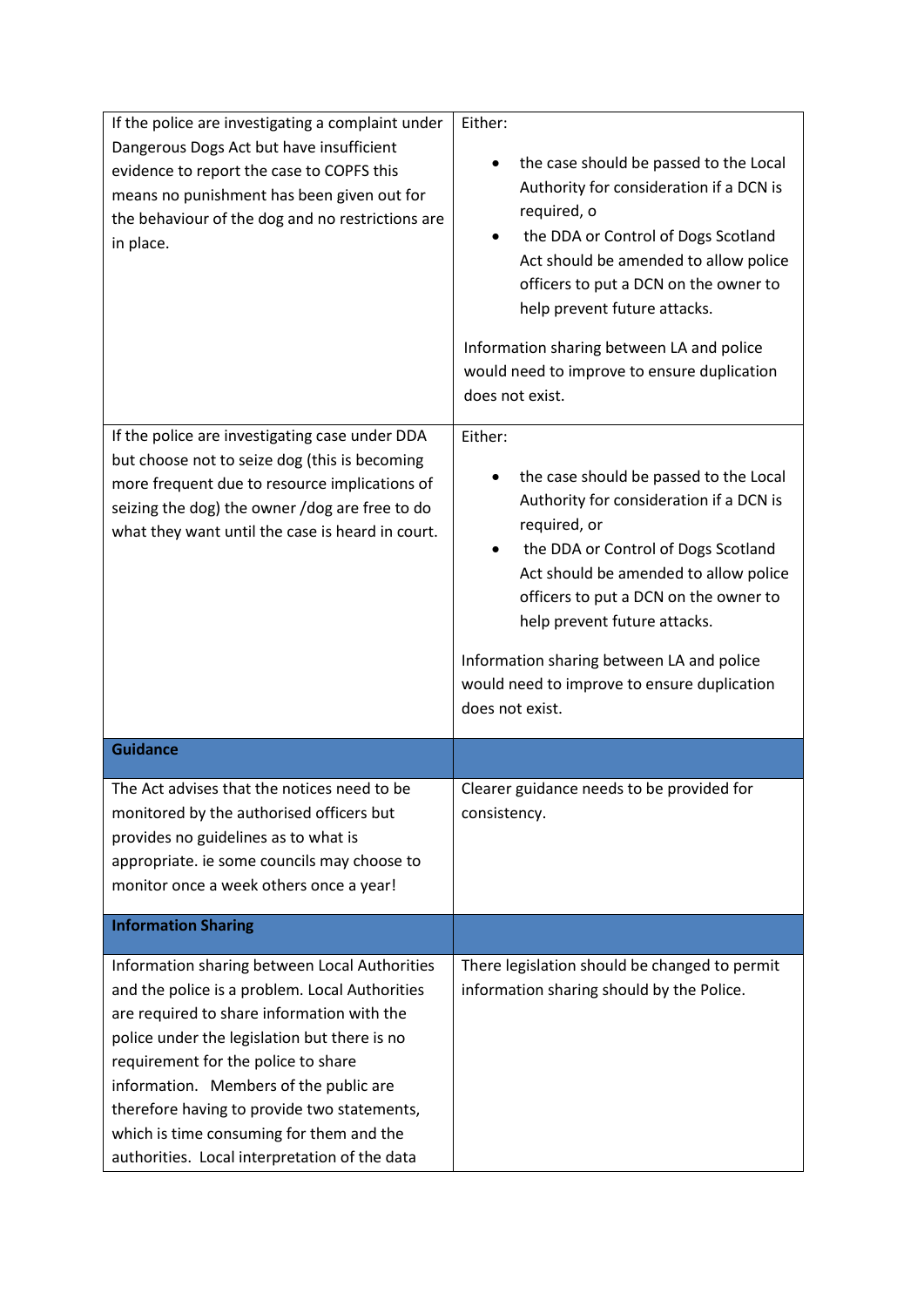| If the police are investigating a complaint under<br>Dangerous Dogs Act but have insufficient<br>evidence to report the case to COPFS this<br>means no punishment has been given out for<br>the behaviour of the dog and no restrictions are<br>in place.                                                                                                                                                                  | Either:<br>the case should be passed to the Local<br>Authority for consideration if a DCN is<br>required, o<br>the DDA or Control of Dogs Scotland<br>Act should be amended to allow police<br>officers to put a DCN on the owner to<br>help prevent future attacks.<br>Information sharing between LA and police<br>would need to improve to ensure duplication<br>does not exist.  |
|----------------------------------------------------------------------------------------------------------------------------------------------------------------------------------------------------------------------------------------------------------------------------------------------------------------------------------------------------------------------------------------------------------------------------|--------------------------------------------------------------------------------------------------------------------------------------------------------------------------------------------------------------------------------------------------------------------------------------------------------------------------------------------------------------------------------------|
| If the police are investigating case under DDA<br>but choose not to seize dog (this is becoming<br>more frequent due to resource implications of<br>seizing the dog) the owner /dog are free to do<br>what they want until the case is heard in court.                                                                                                                                                                     | Either:<br>the case should be passed to the Local<br>Authority for consideration if a DCN is<br>required, or<br>the DDA or Control of Dogs Scotland<br>Act should be amended to allow police<br>officers to put a DCN on the owner to<br>help prevent future attacks.<br>Information sharing between LA and police<br>would need to improve to ensure duplication<br>does not exist. |
| <b>Guidance</b>                                                                                                                                                                                                                                                                                                                                                                                                            |                                                                                                                                                                                                                                                                                                                                                                                      |
| The Act advises that the notices need to be<br>monitored by the authorised officers but<br>provides no guidelines as to what is<br>appropriate. ie some councils may choose to<br>monitor once a week others once a year!                                                                                                                                                                                                  | Clearer guidance needs to be provided for<br>consistency.                                                                                                                                                                                                                                                                                                                            |
| <b>Information Sharing</b>                                                                                                                                                                                                                                                                                                                                                                                                 |                                                                                                                                                                                                                                                                                                                                                                                      |
| Information sharing between Local Authorities<br>and the police is a problem. Local Authorities<br>are required to share information with the<br>police under the legislation but there is no<br>requirement for the police to share<br>information. Members of the public are<br>therefore having to provide two statements,<br>which is time consuming for them and the<br>authorities. Local interpretation of the data | There legislation should be changed to permit<br>information sharing should by the Police.                                                                                                                                                                                                                                                                                           |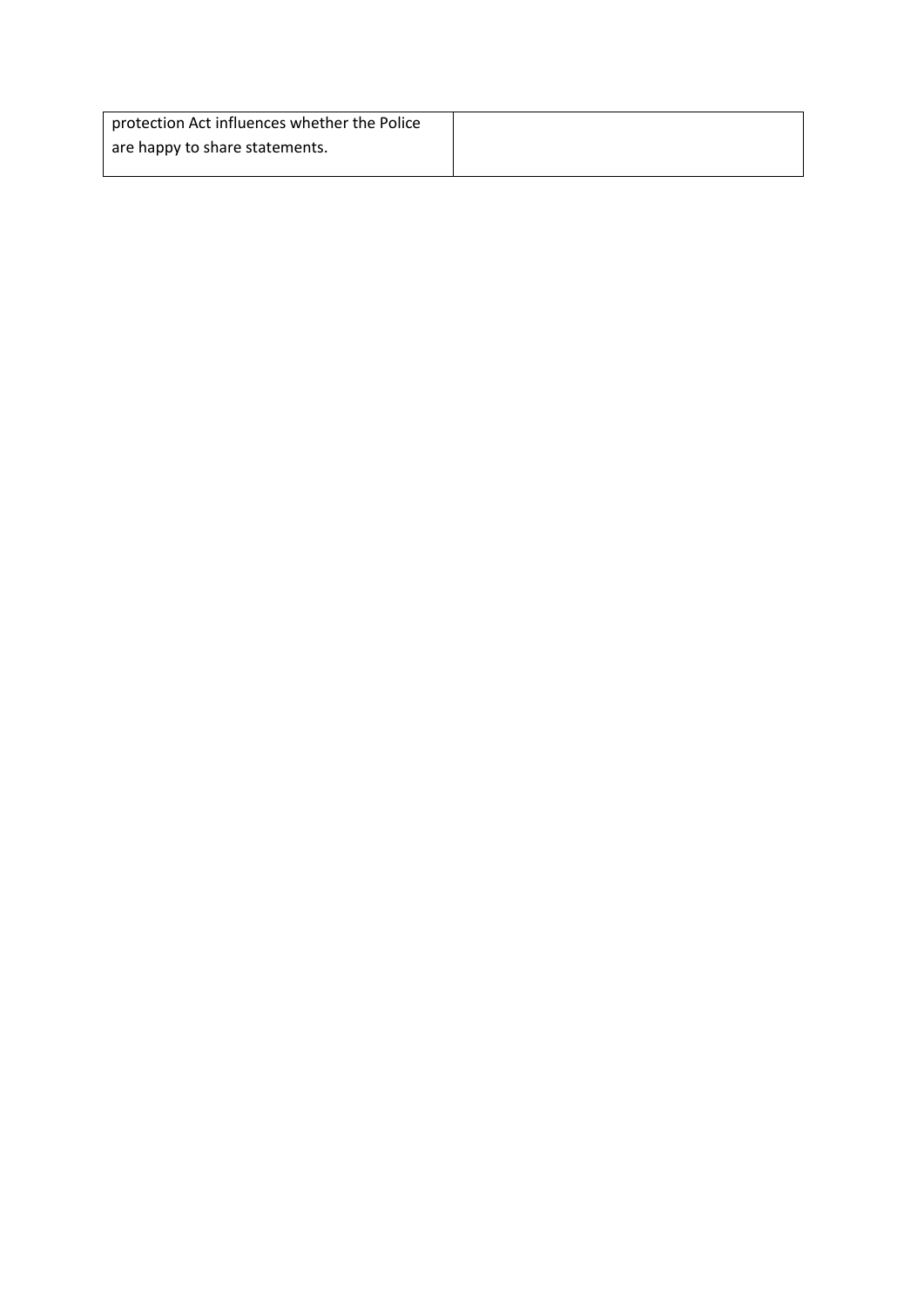| protection Act influences whether the Police |  |
|----------------------------------------------|--|
| are happy to share statements.               |  |
|                                              |  |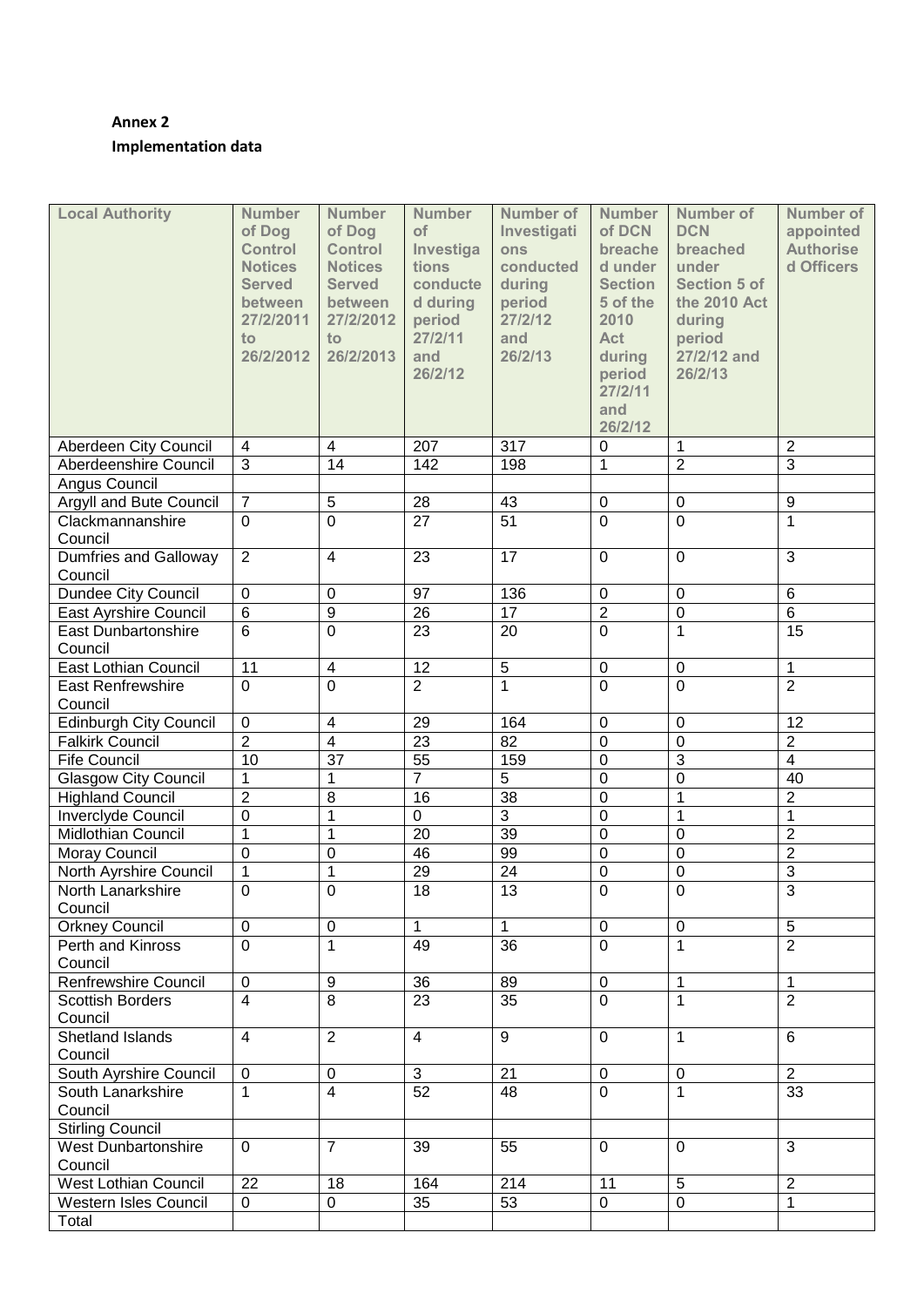## **Annex 2 Implementation data**

| <b>Local Authority</b>                  | <b>Number</b><br>of Dog<br><b>Control</b><br><b>Notices</b><br><b>Served</b><br>between<br>27/2/2011<br>to<br>26/2/2012 | <b>Number</b><br>of Dog<br><b>Control</b><br><b>Notices</b><br><b>Served</b><br>between<br>27/2/2012<br>to<br>26/2/2013 | <b>Number</b><br>of<br>Investiga<br>tions<br>conducte<br>d during<br>period<br>27/2/11<br>and<br>26/2/12 | <b>Number of</b><br>Investigati<br>ons<br>conducted<br>during<br>period<br>27/2/12<br>and<br>26/2/13 | <b>Number</b><br>of DCN<br>breache<br>d under<br><b>Section</b><br>5 of the<br>2010<br><b>Act</b><br>during<br>period<br>27/2/11<br>and<br>26/2/12 | Number of<br><b>DCN</b><br>breached<br>under<br><b>Section 5 of</b><br>the 2010 Act<br>during<br>period<br>27/2/12 and<br>26/2/13 | <b>Number of</b><br>appointed<br><b>Authorise</b><br>d Officers |
|-----------------------------------------|-------------------------------------------------------------------------------------------------------------------------|-------------------------------------------------------------------------------------------------------------------------|----------------------------------------------------------------------------------------------------------|------------------------------------------------------------------------------------------------------|----------------------------------------------------------------------------------------------------------------------------------------------------|-----------------------------------------------------------------------------------------------------------------------------------|-----------------------------------------------------------------|
| Aberdeen City Council                   | $\overline{\mathbf{4}}$                                                                                                 | 4                                                                                                                       | 207                                                                                                      | 317                                                                                                  | 0                                                                                                                                                  | 1                                                                                                                                 | $\overline{2}$                                                  |
| Aberdeenshire Council                   | $\overline{3}$                                                                                                          | $\overline{14}$                                                                                                         | 142                                                                                                      | 198                                                                                                  | $\mathbf{1}$                                                                                                                                       | $\overline{2}$                                                                                                                    | $\overline{3}$                                                  |
| Angus Council                           |                                                                                                                         |                                                                                                                         |                                                                                                          |                                                                                                      |                                                                                                                                                    |                                                                                                                                   |                                                                 |
| Argyll and Bute Council                 | $\overline{7}$                                                                                                          | 5                                                                                                                       | 28                                                                                                       | 43                                                                                                   | $\pmb{0}$                                                                                                                                          | $\pmb{0}$                                                                                                                         | $9\,$                                                           |
| Clackmannanshire                        | $\overline{0}$                                                                                                          | $\overline{0}$                                                                                                          | $\overline{27}$                                                                                          | 51                                                                                                   | $\mathbf 0$                                                                                                                                        | $\overline{0}$                                                                                                                    | $\mathbf{1}$                                                    |
| Council                                 |                                                                                                                         |                                                                                                                         |                                                                                                          |                                                                                                      |                                                                                                                                                    |                                                                                                                                   |                                                                 |
| <b>Dumfries and Galloway</b><br>Council | $\overline{2}$                                                                                                          | $\overline{4}$                                                                                                          | 23                                                                                                       | 17                                                                                                   | $\mathbf 0$                                                                                                                                        | $\mathbf 0$                                                                                                                       | 3                                                               |
| Dundee City Council                     | $\mathbf 0$                                                                                                             | $\mathbf 0$                                                                                                             | $\overline{97}$                                                                                          | 136                                                                                                  | $\pmb{0}$                                                                                                                                          | $\mathbf 0$                                                                                                                       | $\,6$                                                           |
| <b>East Ayrshire Council</b>            | $\overline{6}$                                                                                                          | $\overline{9}$                                                                                                          | $\overline{26}$                                                                                          | $\overline{17}$                                                                                      | $\overline{2}$                                                                                                                                     | $\pmb{0}$                                                                                                                         | $\overline{6}$                                                  |
| <b>East Dunbartonshire</b><br>Council   | $\overline{6}$                                                                                                          | $\overline{0}$                                                                                                          | $\overline{23}$                                                                                          | 20                                                                                                   | $\mathbf 0$                                                                                                                                        | $\mathbf{1}$                                                                                                                      | 15                                                              |
| East Lothian Council                    | $\overline{11}$                                                                                                         | $\overline{\mathbf{4}}$                                                                                                 | $\overline{12}$                                                                                          | $\overline{5}$                                                                                       | $\mathbf 0$                                                                                                                                        | $\pmb{0}$                                                                                                                         | $\mathbf{1}$                                                    |
| <b>East Renfrewshire</b>                | $\overline{0}$                                                                                                          | $\overline{0}$                                                                                                          | $\overline{2}$                                                                                           | 1                                                                                                    | $\mathbf 0$                                                                                                                                        | $\overline{0}$                                                                                                                    | $\overline{2}$                                                  |
| Council                                 |                                                                                                                         |                                                                                                                         |                                                                                                          |                                                                                                      |                                                                                                                                                    |                                                                                                                                   |                                                                 |
| <b>Edinburgh City Council</b>           | $\mathbf 0$                                                                                                             | $\overline{\mathbf{4}}$                                                                                                 | 29                                                                                                       | 164                                                                                                  | $\mathbf 0$                                                                                                                                        | $\mathbf 0$                                                                                                                       | 12                                                              |
| <b>Falkirk Council</b>                  | $\overline{2}$                                                                                                          | $\overline{\mathbf{4}}$                                                                                                 | $\overline{23}$                                                                                          | $\overline{82}$                                                                                      | $\mathbf 0$                                                                                                                                        | $\mathbf 0$                                                                                                                       | $\overline{2}$                                                  |
| <b>Fife Council</b>                     | $\overline{10}$                                                                                                         | $\overline{37}$                                                                                                         | $\overline{55}$                                                                                          | 159                                                                                                  | $\mathbf 0$                                                                                                                                        | 3                                                                                                                                 | $\overline{4}$                                                  |
| Glasgow City Council                    | 1                                                                                                                       | 1                                                                                                                       | $\overline{7}$                                                                                           | $\overline{5}$                                                                                       | 0                                                                                                                                                  | 0                                                                                                                                 | 40                                                              |
| <b>Highland Council</b>                 | $\overline{2}$                                                                                                          | 8                                                                                                                       | 16                                                                                                       | 38                                                                                                   | 0                                                                                                                                                  | 1                                                                                                                                 | $\overline{2}$                                                  |
| Inverclyde Council                      | 0                                                                                                                       | $\mathbf{1}$                                                                                                            | $\mathbf 0$                                                                                              | $\overline{3}$                                                                                       | 0                                                                                                                                                  | 1                                                                                                                                 | 1                                                               |
| <b>Midlothian Council</b>               | $\mathbf{1}$                                                                                                            | $\mathbf{1}$                                                                                                            | 20                                                                                                       | 39                                                                                                   | $\mathbf 0$                                                                                                                                        | 0                                                                                                                                 | $\overline{2}$                                                  |
| Moray Council                           | $\mathbf 0$                                                                                                             | 0                                                                                                                       | 46                                                                                                       | 99                                                                                                   | $\mathbf 0$                                                                                                                                        | $\mathbf 0$                                                                                                                       | $\overline{2}$                                                  |
| North Ayrshire Council                  | $\mathbf{1}$                                                                                                            | $\mathbf{1}$                                                                                                            | 29                                                                                                       | 24                                                                                                   | $\boldsymbol{0}$                                                                                                                                   | 0                                                                                                                                 | $\overline{3}$                                                  |
| North Lanarkshire                       | 0                                                                                                                       | $\mathbf 0$                                                                                                             | 18                                                                                                       | 13                                                                                                   | $\mathbf 0$                                                                                                                                        | $\mathbf 0$                                                                                                                       | $\overline{3}$                                                  |
| Council                                 |                                                                                                                         |                                                                                                                         |                                                                                                          |                                                                                                      |                                                                                                                                                    |                                                                                                                                   |                                                                 |
| <b>Orkney Council</b>                   | $\mathbf 0$                                                                                                             | $\mathbf 0$                                                                                                             | $\mathbf{1}$                                                                                             | 1                                                                                                    | $\mathbf 0$                                                                                                                                        | $\mathbf 0$                                                                                                                       | 5                                                               |
| Perth and Kinross<br>Council            | $\overline{0}$                                                                                                          | $\mathbf{1}$                                                                                                            | 49                                                                                                       | 36                                                                                                   | $\mathbf 0$                                                                                                                                        | 1                                                                                                                                 | $\overline{2}$                                                  |
| <b>Renfrewshire Council</b>             | $\mathsf 0$                                                                                                             | 9                                                                                                                       | 36                                                                                                       | 89                                                                                                   | $\mathbf 0$                                                                                                                                        | 1                                                                                                                                 | $\mathbf{1}$                                                    |
| <b>Scottish Borders</b><br>Council      | $\overline{4}$                                                                                                          | 8                                                                                                                       | 23                                                                                                       | 35                                                                                                   | $\mathbf 0$                                                                                                                                        | 1                                                                                                                                 | $\overline{2}$                                                  |
| Shetland Islands<br>Council             | 4                                                                                                                       | $\overline{2}$                                                                                                          | $\overline{4}$                                                                                           | 9                                                                                                    | $\mathbf 0$                                                                                                                                        | 1                                                                                                                                 | 6                                                               |
| South Ayrshire Council                  | 0                                                                                                                       | 0                                                                                                                       | $\mathfrak{B}$                                                                                           | 21                                                                                                   | $\mathbf 0$                                                                                                                                        | 0                                                                                                                                 | $\overline{2}$                                                  |
| South Lanarkshire                       | $\mathbf{1}$                                                                                                            | $\overline{4}$                                                                                                          | 52                                                                                                       | 48                                                                                                   | $\mathbf 0$                                                                                                                                        | 1                                                                                                                                 | 33                                                              |
| Council                                 |                                                                                                                         |                                                                                                                         |                                                                                                          |                                                                                                      |                                                                                                                                                    |                                                                                                                                   |                                                                 |
| <b>Stirling Council</b>                 |                                                                                                                         |                                                                                                                         |                                                                                                          |                                                                                                      |                                                                                                                                                    |                                                                                                                                   |                                                                 |
| <b>West Dunbartonshire</b><br>Council   | $\mathbf 0$                                                                                                             | $\overline{7}$                                                                                                          | 39                                                                                                       | 55                                                                                                   | 0                                                                                                                                                  | 0                                                                                                                                 | 3                                                               |
| <b>West Lothian Council</b>             | 22                                                                                                                      | 18                                                                                                                      | 164                                                                                                      | 214                                                                                                  | 11                                                                                                                                                 | 5                                                                                                                                 | $\overline{2}$                                                  |
| Western Isles Council                   | 0                                                                                                                       | 0                                                                                                                       | 35                                                                                                       | 53                                                                                                   | 0                                                                                                                                                  | 0                                                                                                                                 | 1                                                               |
| Total                                   |                                                                                                                         |                                                                                                                         |                                                                                                          |                                                                                                      |                                                                                                                                                    |                                                                                                                                   |                                                                 |
|                                         |                                                                                                                         |                                                                                                                         |                                                                                                          |                                                                                                      |                                                                                                                                                    |                                                                                                                                   |                                                                 |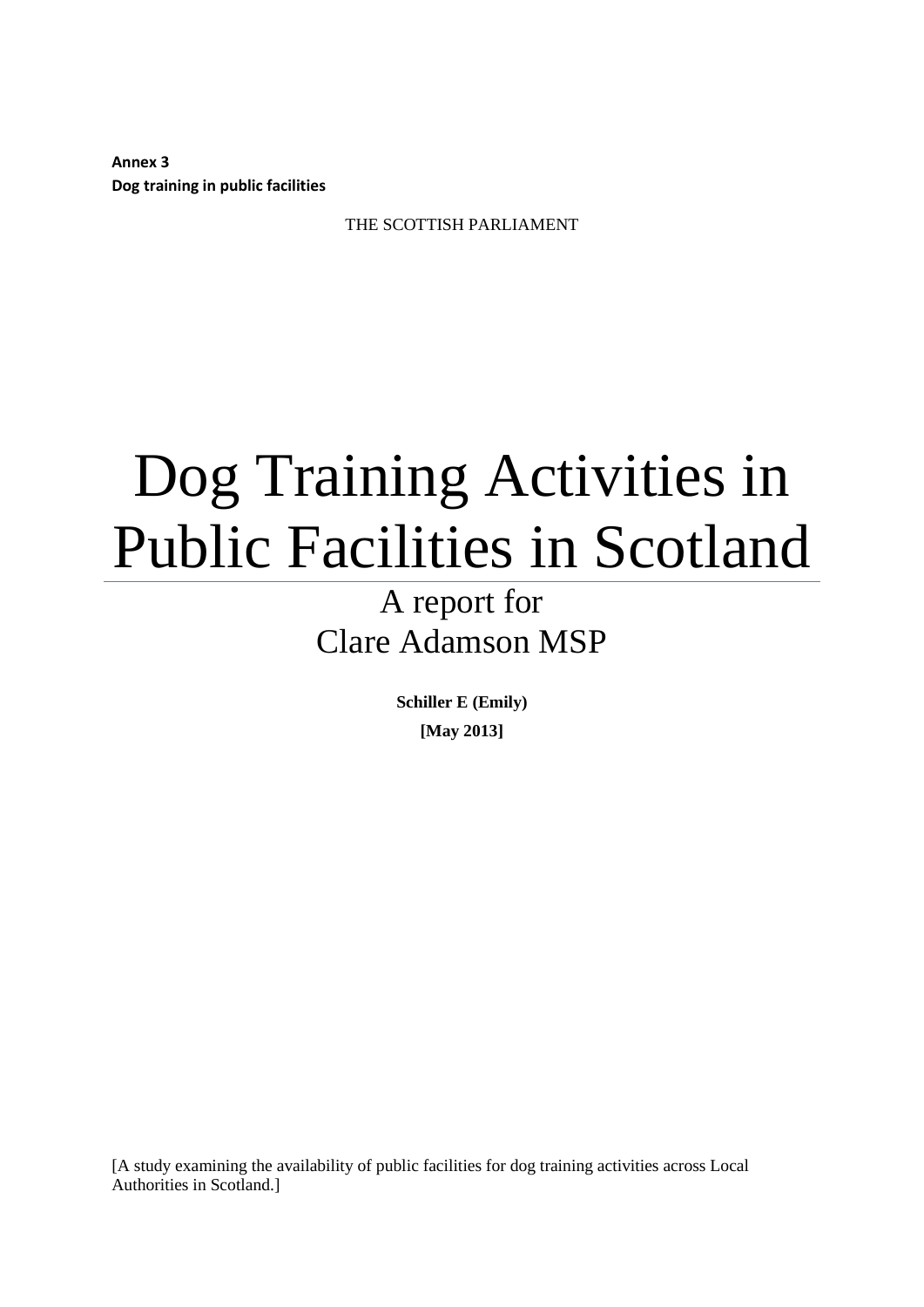**Annex 3 Dog training in public facilities**

THE SCOTTISH PARLIAMENT

# Dog Training Activities in Public Facilities in Scotland

A report for Clare Adamson MSP

> **Schiller E (Emily) [May 2013]**

[A study examining the availability of public facilities for dog training activities across Local Authorities in Scotland.]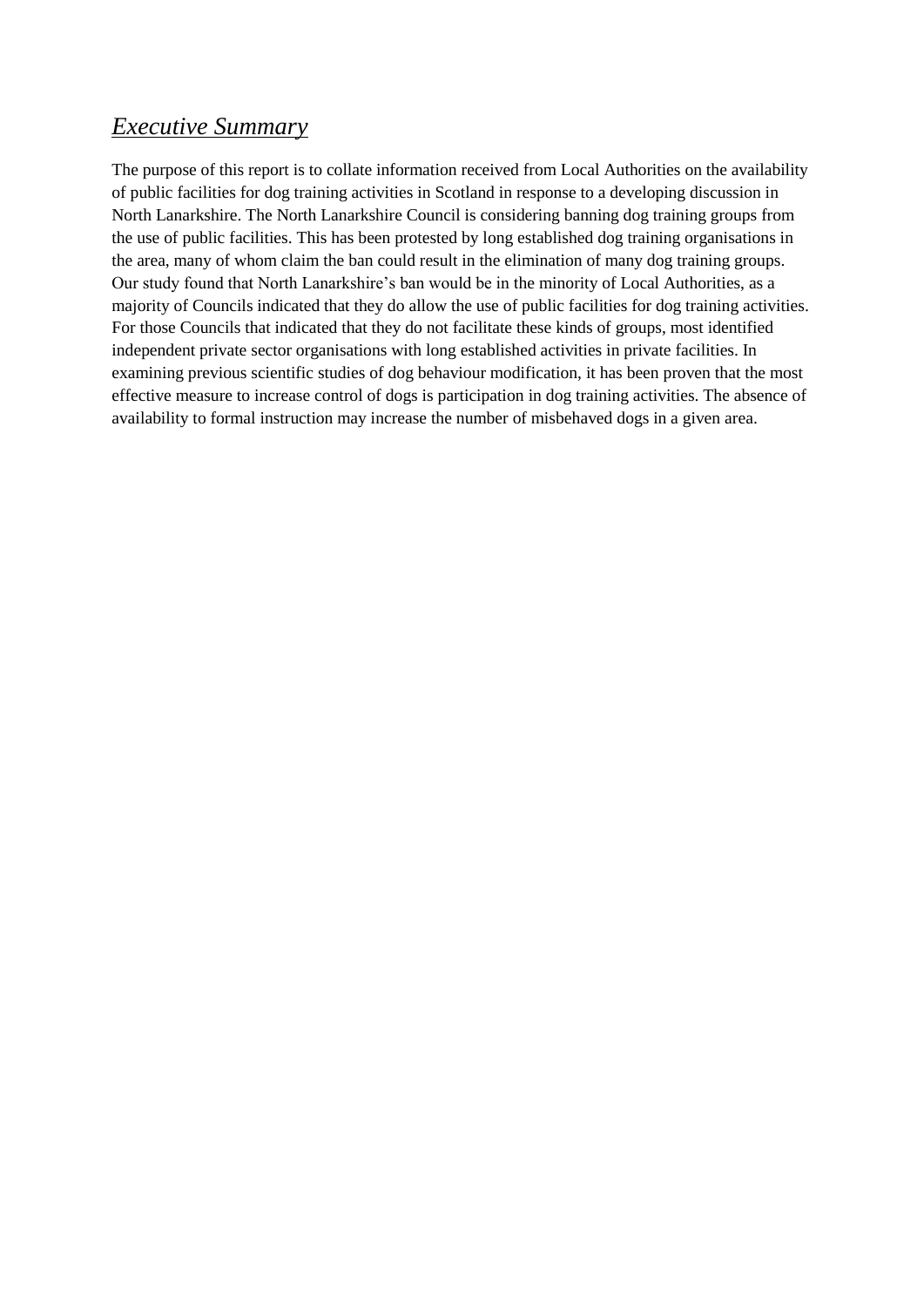## *Executive Summary*

The purpose of this report is to collate information received from Local Authorities on the availability of public facilities for dog training activities in Scotland in response to a developing discussion in North Lanarkshire. The North Lanarkshire Council is considering banning dog training groups from the use of public facilities. This has been protested by long established dog training organisations in the area, many of whom claim the ban could result in the elimination of many dog training groups. Our study found that North Lanarkshire's ban would be in the minority of Local Authorities, as a majority of Councils indicated that they do allow the use of public facilities for dog training activities. For those Councils that indicated that they do not facilitate these kinds of groups, most identified independent private sector organisations with long established activities in private facilities. In examining previous scientific studies of dog behaviour modification, it has been proven that the most effective measure to increase control of dogs is participation in dog training activities. The absence of availability to formal instruction may increase the number of misbehaved dogs in a given area.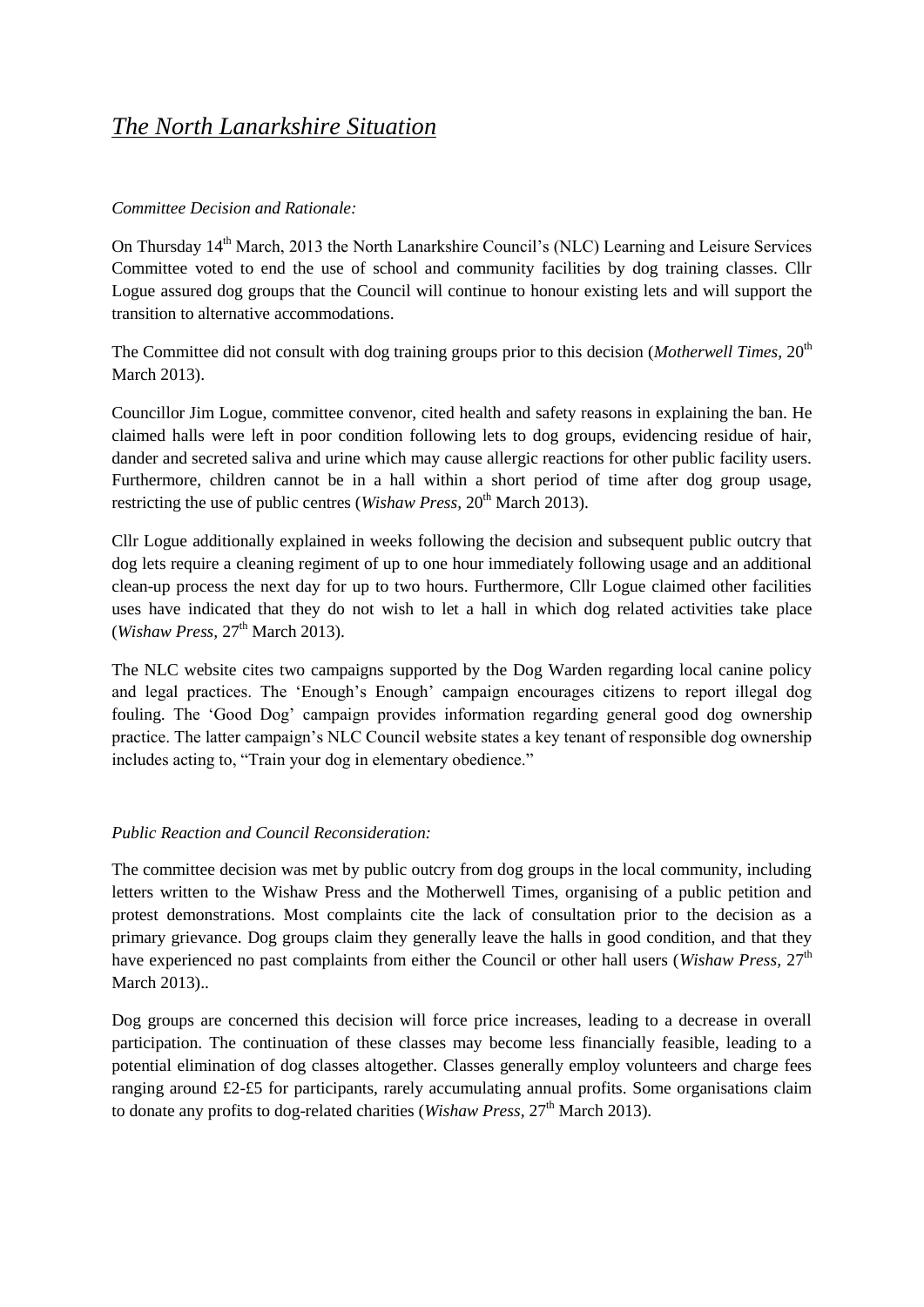## *The North Lanarkshire Situation*

### *Committee Decision and Rationale:*

On Thursday 14<sup>th</sup> March, 2013 the North Lanarkshire Council's (NLC) Learning and Leisure Services Committee voted to end the use of school and community facilities by dog training classes. Cllr Logue assured dog groups that the Council will continue to honour existing lets and will support the transition to alternative accommodations.

The Committee did not consult with dog training groups prior to this decision (*Motherwell Times*, 20<sup>th</sup>) March 2013).

Councillor Jim Logue, committee convenor, cited health and safety reasons in explaining the ban. He claimed halls were left in poor condition following lets to dog groups, evidencing residue of hair, dander and secreted saliva and urine which may cause allergic reactions for other public facility users. Furthermore, children cannot be in a hall within a short period of time after dog group usage, restricting the use of public centres (*Wishaw Press*, 20<sup>th</sup> March 2013).

Cllr Logue additionally explained in weeks following the decision and subsequent public outcry that dog lets require a cleaning regiment of up to one hour immediately following usage and an additional clean-up process the next day for up to two hours. Furthermore, Cllr Logue claimed other facilities uses have indicated that they do not wish to let a hall in which dog related activities take place  $(Wishaw Press, 27<sup>th</sup> March 2013).$ 

The NLC website cites two campaigns supported by the Dog Warden regarding local canine policy and legal practices. The 'Enough's Enough' campaign encourages citizens to report illegal dog fouling. The 'Good Dog' campaign provides information regarding general good dog ownership practice. The latter campaign's NLC Council website states a key tenant of responsible dog ownership includes acting to, "Train your dog in elementary obedience."

#### *Public Reaction and Council Reconsideration:*

The committee decision was met by public outcry from dog groups in the local community, including letters written to the Wishaw Press and the Motherwell Times, organising of a public petition and protest demonstrations. Most complaints cite the lack of consultation prior to the decision as a primary grievance. Dog groups claim they generally leave the halls in good condition, and that they have experienced no past complaints from either the Council or other hall users (*Wishaw Press*,  $27<sup>th</sup>$ March 2013)..

Dog groups are concerned this decision will force price increases, leading to a decrease in overall participation. The continuation of these classes may become less financially feasible, leading to a potential elimination of dog classes altogether. Classes generally employ volunteers and charge fees ranging around  $£2-\&5$  for participants, rarely accumulating annual profits. Some organisations claim to donate any profits to dog-related charities (*Wishaw Press*,  $27<sup>th</sup>$  March 2013).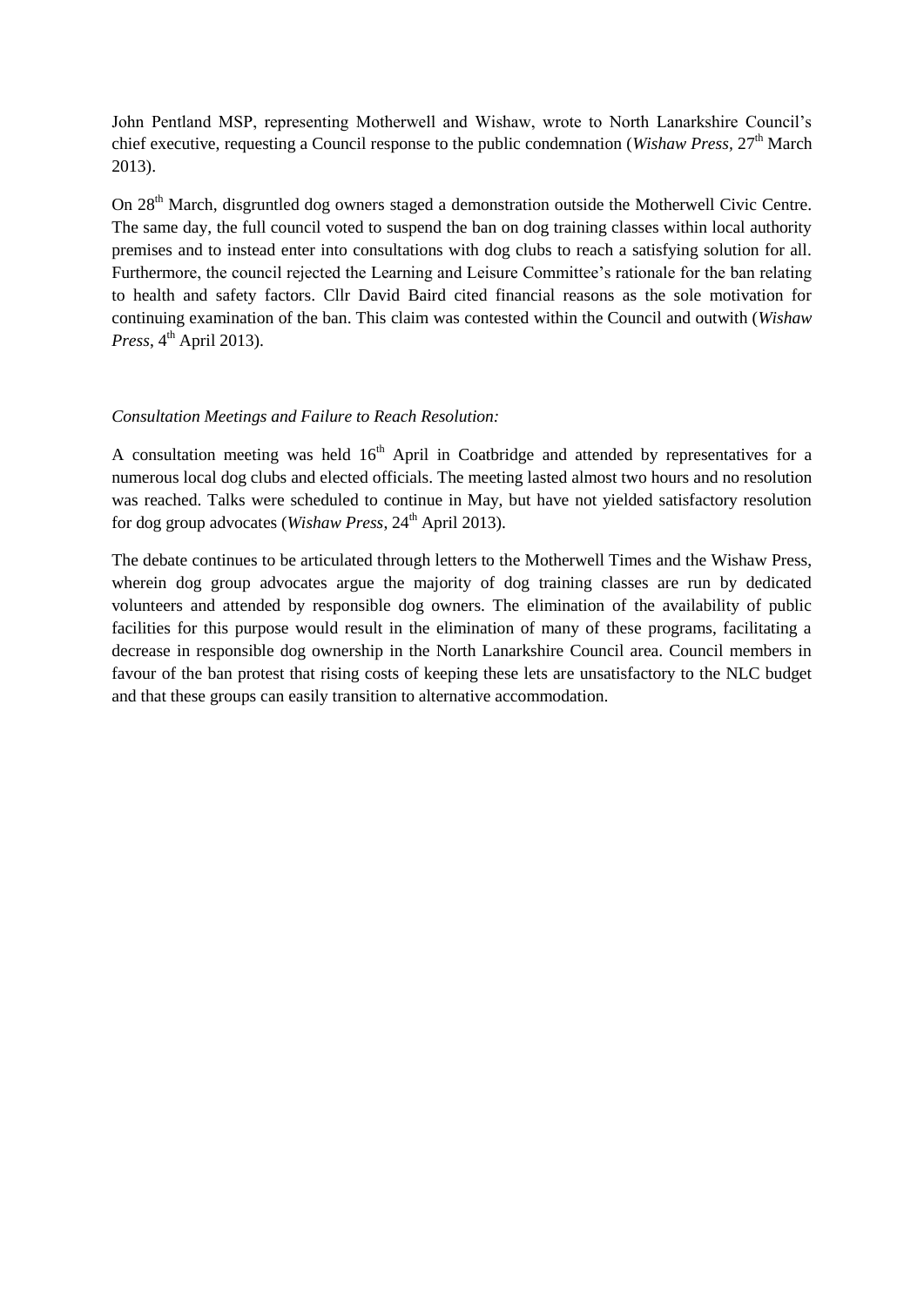John Pentland MSP, representing Motherwell and Wishaw, wrote to North Lanarkshire Council's chief executive, requesting a Council response to the public condemnation (*Wishaw Press*, 27<sup>th</sup> March 2013).

On 28<sup>th</sup> March, disgruntled dog owners staged a demonstration outside the Motherwell Civic Centre. The same day, the full council voted to suspend the ban on dog training classes within local authority premises and to instead enter into consultations with dog clubs to reach a satisfying solution for all. Furthermore, the council rejected the Learning and Leisure Committee's rationale for the ban relating to health and safety factors. Cllr David Baird cited financial reasons as the sole motivation for continuing examination of the ban. This claim was contested within the Council and outwith (*Wishaw Press*,  $4^{\text{th}}$  April 2013).

#### *Consultation Meetings and Failure to Reach Resolution:*

A consultation meeting was held  $16<sup>th</sup>$  April in Coatbridge and attended by representatives for a numerous local dog clubs and elected officials. The meeting lasted almost two hours and no resolution was reached. Talks were scheduled to continue in May, but have not yielded satisfactory resolution for dog group advocates (*Wishaw Press*, 24<sup>th</sup> April 2013).

The debate continues to be articulated through letters to the Motherwell Times and the Wishaw Press, wherein dog group advocates argue the majority of dog training classes are run by dedicated volunteers and attended by responsible dog owners. The elimination of the availability of public facilities for this purpose would result in the elimination of many of these programs, facilitating a decrease in responsible dog ownership in the North Lanarkshire Council area. Council members in favour of the ban protest that rising costs of keeping these lets are unsatisfactory to the NLC budget and that these groups can easily transition to alternative accommodation.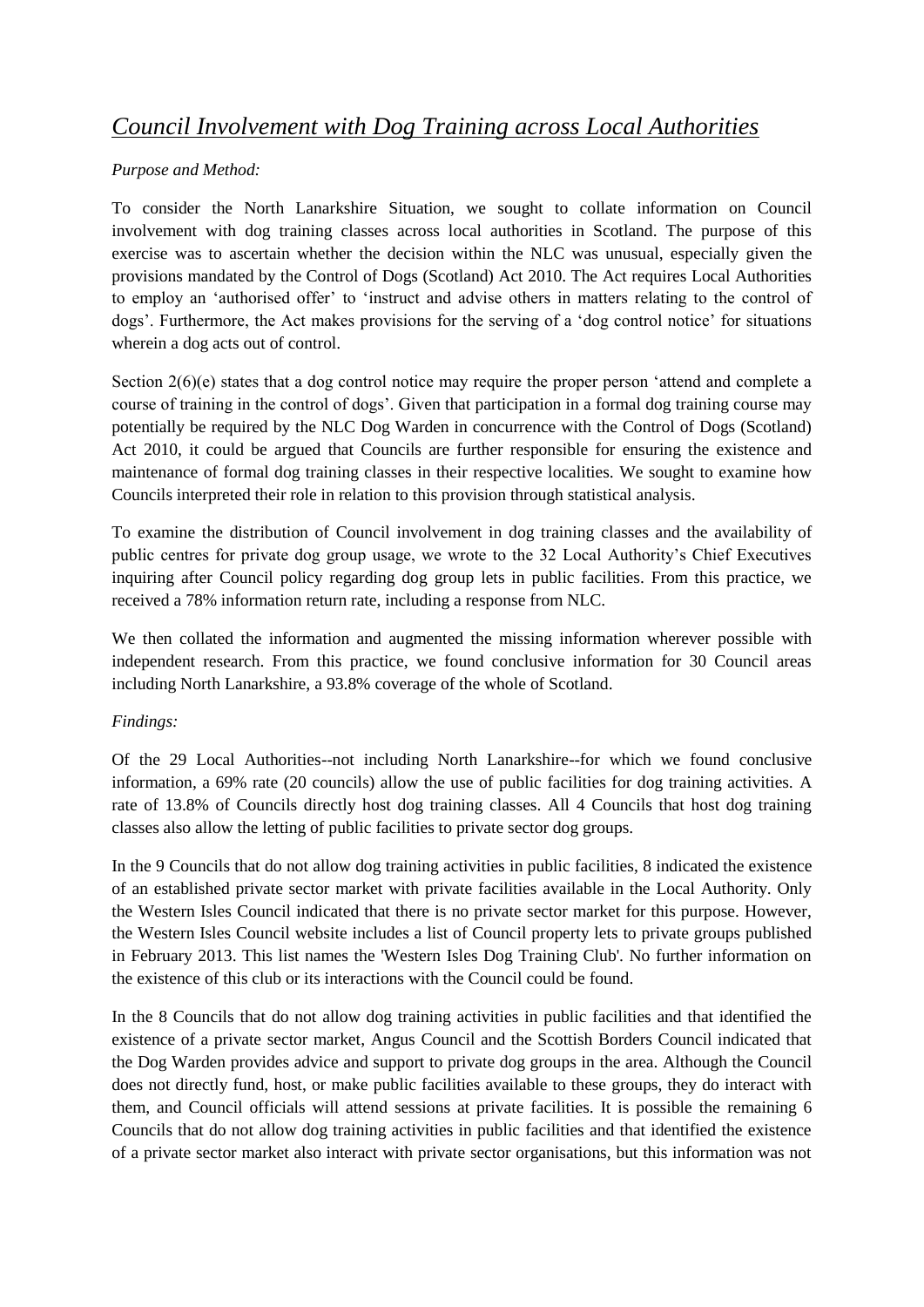# *Council Involvement with Dog Training across Local Authorities*

## *Purpose and Method:*

To consider the North Lanarkshire Situation, we sought to collate information on Council involvement with dog training classes across local authorities in Scotland. The purpose of this exercise was to ascertain whether the decision within the NLC was unusual, especially given the provisions mandated by the Control of Dogs (Scotland) Act 2010. The Act requires Local Authorities to employ an 'authorised offer' to 'instruct and advise others in matters relating to the control of dogs'. Furthermore, the Act makes provisions for the serving of a 'dog control notice' for situations wherein a dog acts out of control.

Section 2(6)(e) states that a dog control notice may require the proper person 'attend and complete a course of training in the control of dogs'. Given that participation in a formal dog training course may potentially be required by the NLC Dog Warden in concurrence with the Control of Dogs (Scotland) Act 2010, it could be argued that Councils are further responsible for ensuring the existence and maintenance of formal dog training classes in their respective localities. We sought to examine how Councils interpreted their role in relation to this provision through statistical analysis.

To examine the distribution of Council involvement in dog training classes and the availability of public centres for private dog group usage, we wrote to the 32 Local Authority's Chief Executives inquiring after Council policy regarding dog group lets in public facilities. From this practice, we received a 78% information return rate, including a response from NLC.

We then collated the information and augmented the missing information wherever possible with independent research. From this practice, we found conclusive information for 30 Council areas including North Lanarkshire, a 93.8% coverage of the whole of Scotland.

## *Findings:*

Of the 29 Local Authorities--not including North Lanarkshire--for which we found conclusive information, a 69% rate (20 councils) allow the use of public facilities for dog training activities. A rate of 13.8% of Councils directly host dog training classes. All 4 Councils that host dog training classes also allow the letting of public facilities to private sector dog groups.

In the 9 Councils that do not allow dog training activities in public facilities, 8 indicated the existence of an established private sector market with private facilities available in the Local Authority. Only the Western Isles Council indicated that there is no private sector market for this purpose. However, the Western Isles Council website includes a list of Council property lets to private groups published in February 2013. This list names the 'Western Isles Dog Training Club'. No further information on the existence of this club or its interactions with the Council could be found.

In the 8 Councils that do not allow dog training activities in public facilities and that identified the existence of a private sector market, Angus Council and the Scottish Borders Council indicated that the Dog Warden provides advice and support to private dog groups in the area. Although the Council does not directly fund, host, or make public facilities available to these groups, they do interact with them, and Council officials will attend sessions at private facilities. It is possible the remaining 6 Councils that do not allow dog training activities in public facilities and that identified the existence of a private sector market also interact with private sector organisations, but this information was not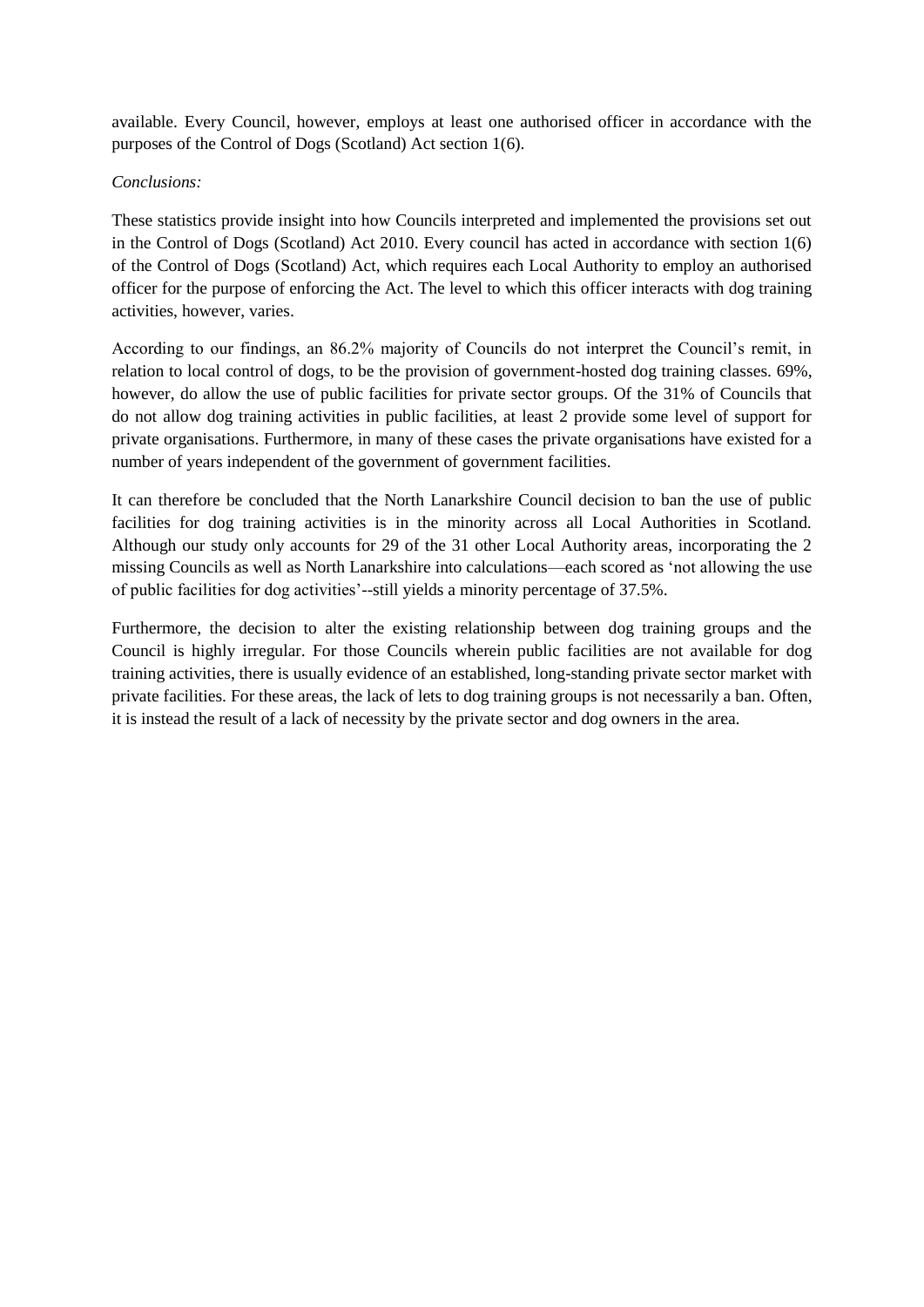available. Every Council, however, employs at least one authorised officer in accordance with the purposes of the Control of Dogs (Scotland) Act section 1(6).

#### *Conclusions:*

These statistics provide insight into how Councils interpreted and implemented the provisions set out in the Control of Dogs (Scotland) Act 2010. Every council has acted in accordance with section 1(6) of the Control of Dogs (Scotland) Act, which requires each Local Authority to employ an authorised officer for the purpose of enforcing the Act. The level to which this officer interacts with dog training activities, however, varies.

According to our findings, an 86.2% majority of Councils do not interpret the Council's remit, in relation to local control of dogs, to be the provision of government-hosted dog training classes. 69%, however, do allow the use of public facilities for private sector groups. Of the 31% of Councils that do not allow dog training activities in public facilities, at least 2 provide some level of support for private organisations. Furthermore, in many of these cases the private organisations have existed for a number of years independent of the government of government facilities.

It can therefore be concluded that the North Lanarkshire Council decision to ban the use of public facilities for dog training activities is in the minority across all Local Authorities in Scotland. Although our study only accounts for 29 of the 31 other Local Authority areas, incorporating the 2 missing Councils as well as North Lanarkshire into calculations—each scored as 'not allowing the use of public facilities for dog activities'--still yields a minority percentage of 37.5%.

Furthermore, the decision to alter the existing relationship between dog training groups and the Council is highly irregular. For those Councils wherein public facilities are not available for dog training activities, there is usually evidence of an established, long-standing private sector market with private facilities. For these areas, the lack of lets to dog training groups is not necessarily a ban. Often, it is instead the result of a lack of necessity by the private sector and dog owners in the area.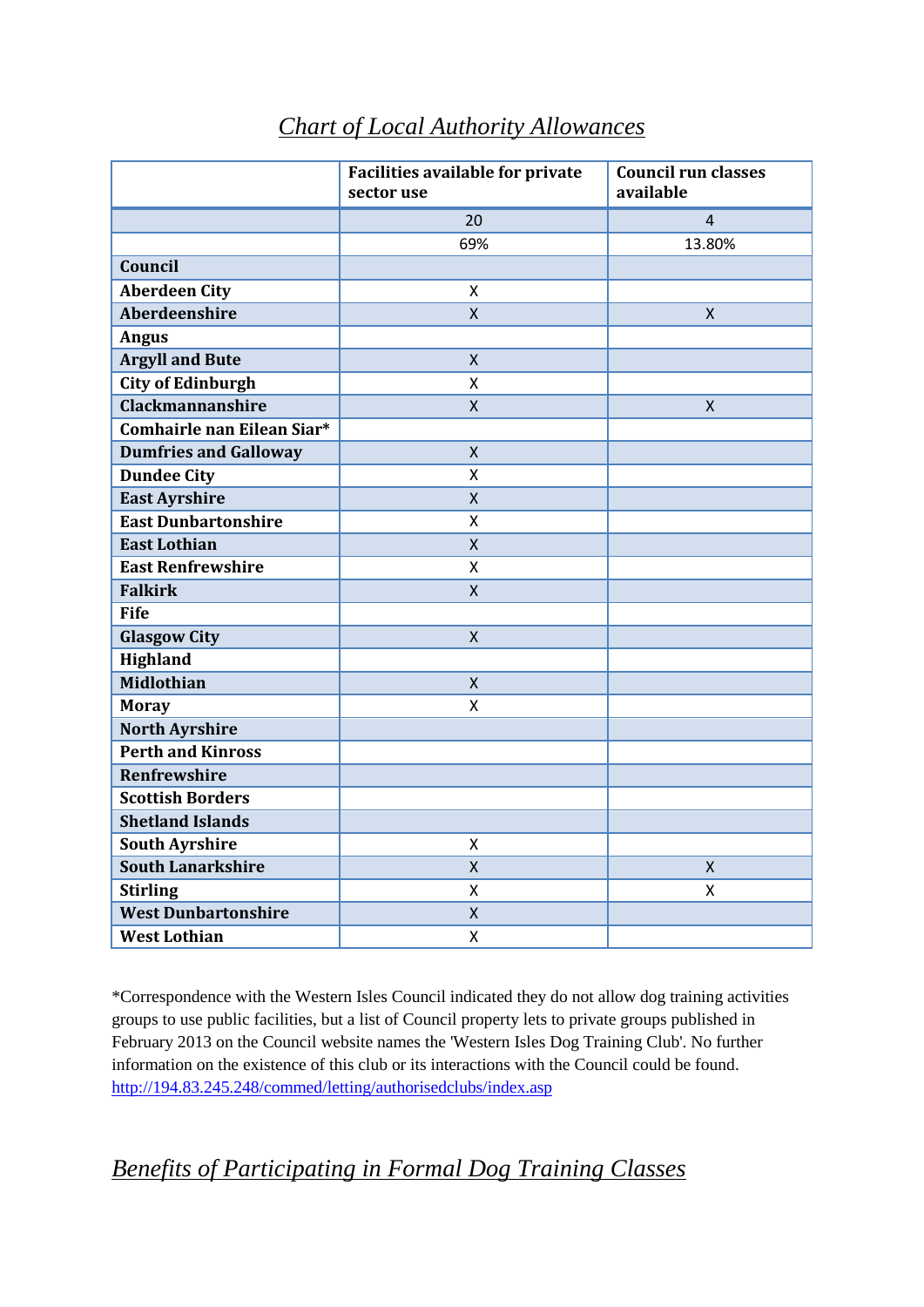|                              | <b>Facilities available for private</b><br>sector use | <b>Council run classes</b><br>available |
|------------------------------|-------------------------------------------------------|-----------------------------------------|
|                              | 20                                                    | 4                                       |
|                              | 69%                                                   | 13.80%                                  |
| Council                      |                                                       |                                         |
| <b>Aberdeen City</b>         | Χ                                                     |                                         |
| Aberdeenshire                | $\overline{X}$                                        | X                                       |
| <b>Angus</b>                 |                                                       |                                         |
| <b>Argyll and Bute</b>       | $\pmb{\mathsf{X}}$                                    |                                         |
| <b>City of Edinburgh</b>     | X                                                     |                                         |
| <b>Clackmannanshire</b>      | $\mathsf{X}$                                          | $\sf X$                                 |
| Comhairle nan Eilean Siar*   |                                                       |                                         |
| <b>Dumfries and Galloway</b> | $\mathsf{X}$                                          |                                         |
| <b>Dundee City</b>           | X                                                     |                                         |
| <b>East Ayrshire</b>         | $\pmb{\mathsf{X}}$                                    |                                         |
| <b>East Dunbartonshire</b>   | X                                                     |                                         |
| <b>East Lothian</b>          | $\mathsf{X}$                                          |                                         |
| <b>East Renfrewshire</b>     | X                                                     |                                         |
| <b>Falkirk</b>               | $\mathsf{X}$                                          |                                         |
| <b>Fife</b>                  |                                                       |                                         |
| <b>Glasgow City</b>          | $\mathsf{X}$                                          |                                         |
| <b>Highland</b>              |                                                       |                                         |
| <b>Midlothian</b>            | $\overline{X}$                                        |                                         |
| <b>Moray</b>                 | Χ                                                     |                                         |
| <b>North Ayrshire</b>        |                                                       |                                         |
| <b>Perth and Kinross</b>     |                                                       |                                         |
| <b>Renfrewshire</b>          |                                                       |                                         |
| <b>Scottish Borders</b>      |                                                       |                                         |
| <b>Shetland Islands</b>      |                                                       |                                         |
| <b>South Ayrshire</b>        | X                                                     |                                         |
| <b>South Lanarkshire</b>     | $\mathsf{X}$                                          | $\pmb{\mathsf{X}}$                      |
| <b>Stirling</b>              | X                                                     | Χ                                       |
| <b>West Dunbartonshire</b>   | $\pmb{\mathsf{X}}$                                    |                                         |
| <b>West Lothian</b>          | X                                                     |                                         |

# *Chart of Local Authority Allowances*

\*Correspondence with the Western Isles Council indicated they do not allow dog training activities groups to use public facilities, but a list of Council property lets to private groups published in February 2013 on the Council website names the 'Western Isles Dog Training Club'. No further information on the existence of this club or its interactions with the Council could be found. <http://194.83.245.248/commed/letting/authorisedclubs/index.asp>

# *Benefits of Participating in Formal Dog Training Classes*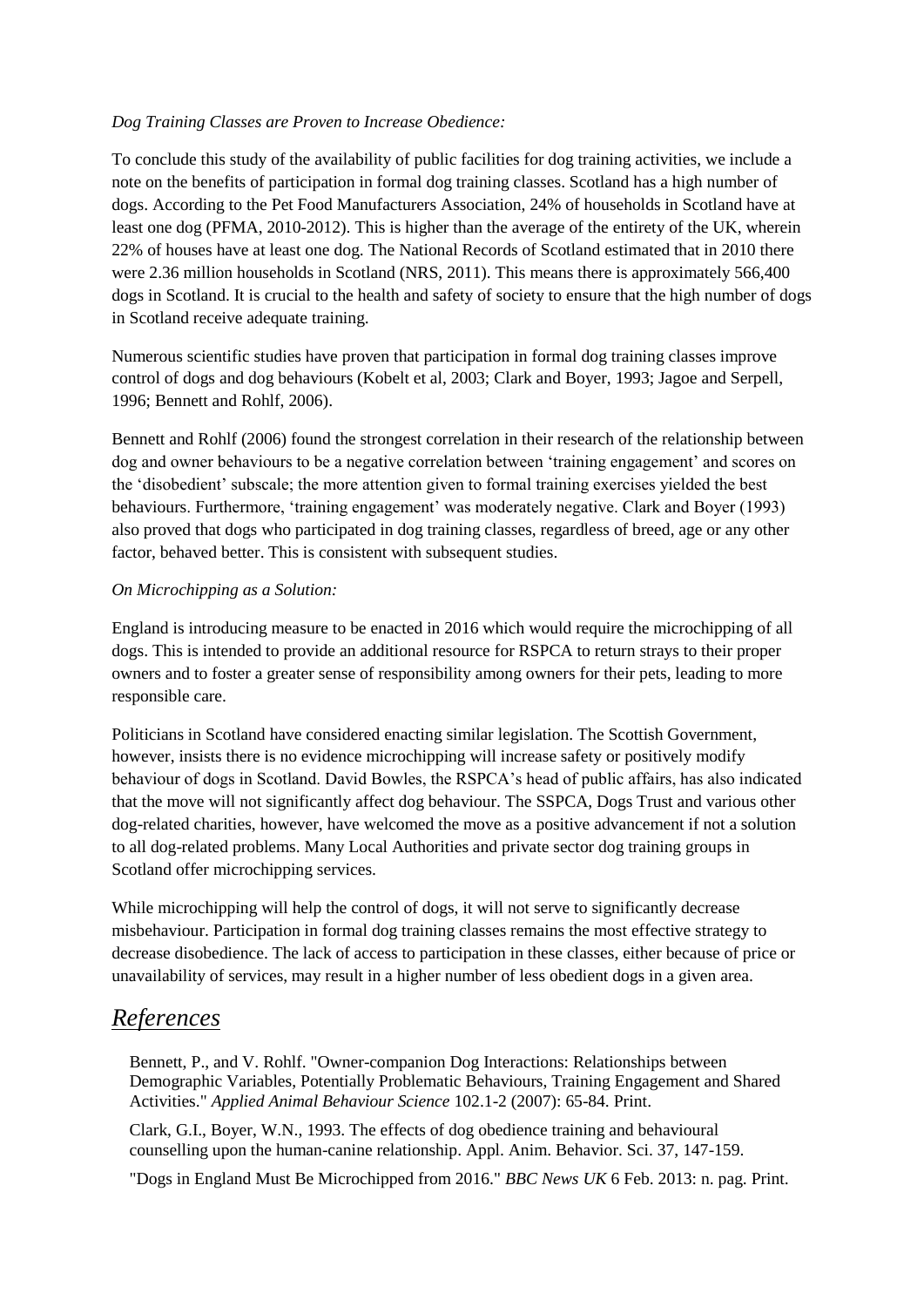### *Dog Training Classes are Proven to Increase Obedience:*

To conclude this study of the availability of public facilities for dog training activities, we include a note on the benefits of participation in formal dog training classes. Scotland has a high number of dogs. According to the Pet Food Manufacturers Association, 24% of households in Scotland have at least one dog (PFMA, 2010-2012). This is higher than the average of the entirety of the UK, wherein 22% of houses have at least one dog. The National Records of Scotland estimated that in 2010 there were 2.36 million households in Scotland (NRS, 2011). This means there is approximately 566,400 dogs in Scotland. It is crucial to the health and safety of society to ensure that the high number of dogs in Scotland receive adequate training.

Numerous scientific studies have proven that participation in formal dog training classes improve control of dogs and dog behaviours (Kobelt et al, 2003; Clark and Boyer, 1993; Jagoe and Serpell, 1996; Bennett and Rohlf, 2006).

Bennett and Rohlf (2006) found the strongest correlation in their research of the relationship between dog and owner behaviours to be a negative correlation between 'training engagement' and scores on the 'disobedient' subscale; the more attention given to formal training exercises yielded the best behaviours. Furthermore, 'training engagement' was moderately negative. Clark and Boyer (1993) also proved that dogs who participated in dog training classes, regardless of breed, age or any other factor, behaved better. This is consistent with subsequent studies.

#### *On Microchipping as a Solution:*

England is introducing measure to be enacted in 2016 which would require the microchipping of all dogs. This is intended to provide an additional resource for RSPCA to return strays to their proper owners and to foster a greater sense of responsibility among owners for their pets, leading to more responsible care.

Politicians in Scotland have considered enacting similar legislation. The Scottish Government, however, insists there is no evidence microchipping will increase safety or positively modify behaviour of dogs in Scotland. David Bowles, the RSPCA's head of public affairs, has also indicated that the move will not significantly affect dog behaviour. The SSPCA, Dogs Trust and various other dog-related charities, however, have welcomed the move as a positive advancement if not a solution to all dog-related problems. Many Local Authorities and private sector dog training groups in Scotland offer microchipping services.

While microchipping will help the control of dogs, it will not serve to significantly decrease misbehaviour. Participation in formal dog training classes remains the most effective strategy to decrease disobedience. The lack of access to participation in these classes, either because of price or unavailability of services, may result in a higher number of less obedient dogs in a given area.

## *References*

Bennett, P., and V. Rohlf. "Owner-companion Dog Interactions: Relationships between Demographic Variables, Potentially Problematic Behaviours, Training Engagement and Shared Activities." *Applied Animal Behaviour Science* 102.1-2 (2007): 65-84. Print.

Clark, G.I., Boyer, W.N., 1993. The effects of dog obedience training and behavioural counselling upon the human-canine relationship. Appl. Anim. Behavior. Sci. 37, 147-159.

"Dogs in England Must Be Microchipped from 2016." *BBC News UK* 6 Feb. 2013: n. pag. Print.